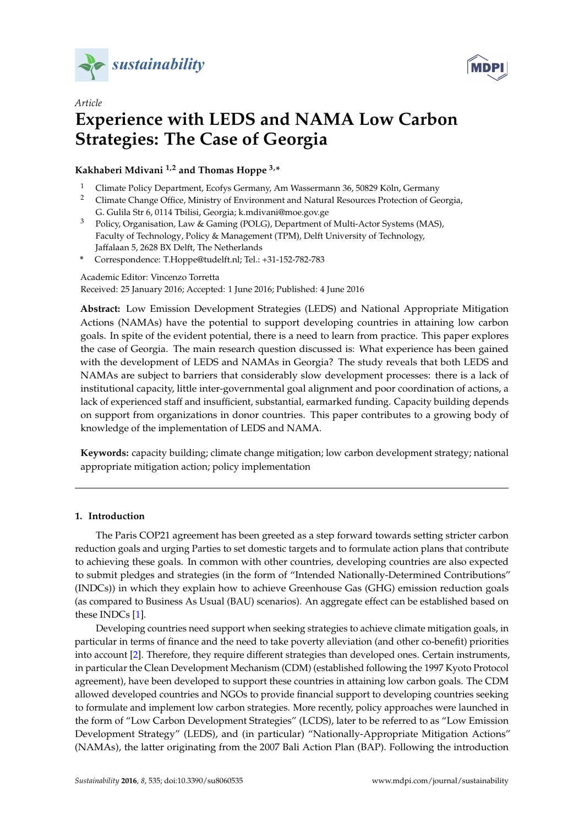



# *Article* **Experience with LEDS and NAMA Low Carbon Strategies: The Case of Georgia**

**Kakhaberi Mdivani 1,2 and Thomas Hoppe 3,\***

- <sup>1</sup> Climate Policy Department, Ecofys Germany, Am Wassermann 36, 50829 Köln, Germany<br><sup>2</sup> Climate Change Office, Ministry of Environment and Natural Pescurses Protection of Co
- <sup>2</sup> Climate Change Office, Ministry of Environment and Natural Resources Protection of Georgia, G. Gulila Str 6, 0114 Tbilisi, Georgia; k.mdivani@moe.gov.ge
- <sup>3</sup> Policy, Organisation, Law & Gaming (POLG), Department of Multi-Actor Systems (MAS), Faculty of Technology, Policy & Management (TPM), Delft University of Technology, Jaffalaan 5, 2628 BX Delft, The Netherlands
- **\*** Correspondence: T.Hoppe@tudelft.nl; Tel.: +31-152-782-783

Academic Editor: Vincenzo Torretta

Received: 25 January 2016; Accepted: 1 June 2016; Published: 4 June 2016

**Abstract:** Low Emission Development Strategies (LEDS) and National Appropriate Mitigation Actions (NAMAs) have the potential to support developing countries in attaining low carbon goals. In spite of the evident potential, there is a need to learn from practice. This paper explores the case of Georgia. The main research question discussed is: What experience has been gained with the development of LEDS and NAMAs in Georgia? The study reveals that both LEDS and NAMAs are subject to barriers that considerably slow development processes: there is a lack of institutional capacity, little inter-governmental goal alignment and poor coordination of actions, a lack of experienced staff and insufficient, substantial, earmarked funding. Capacity building depends on support from organizations in donor countries. This paper contributes to a growing body of knowledge of the implementation of LEDS and NAMA.

**Keywords:** capacity building; climate change mitigation; low carbon development strategy; national appropriate mitigation action; policy implementation

## **1. Introduction**

The Paris COP21 agreement has been greeted as a step forward towards setting stricter carbon reduction goals and urging Parties to set domestic targets and to formulate action plans that contribute to achieving these goals. In common with other countries, developing countries are also expected to submit pledges and strategies (in the form of "Intended Nationally-Determined Contributions" (INDCs)) in which they explain how to achieve Greenhouse Gas (GHG) emission reduction goals (as compared to Business As Usual (BAU) scenarios). An aggregate effect can be established based on these INDCs [\[1\]](#page-19-0).

Developing countries need support when seeking strategies to achieve climate mitigation goals, in particular in terms of finance and the need to take poverty alleviation (and other co-benefit) priorities into account [\[2\]](#page-19-1). Therefore, they require different strategies than developed ones. Certain instruments, in particular the Clean Development Mechanism (CDM) (established following the 1997 Kyoto Protocol agreement), have been developed to support these countries in attaining low carbon goals. The CDM allowed developed countries and NGOs to provide financial support to developing countries seeking to formulate and implement low carbon strategies. More recently, policy approaches were launched in the form of "Low Carbon Development Strategies" (LCDS), later to be referred to as "Low Emission Development Strategy" (LEDS), and (in particular) "Nationally-Appropriate Mitigation Actions" (NAMAs), the latter originating from the 2007 Bali Action Plan (BAP). Following the introduction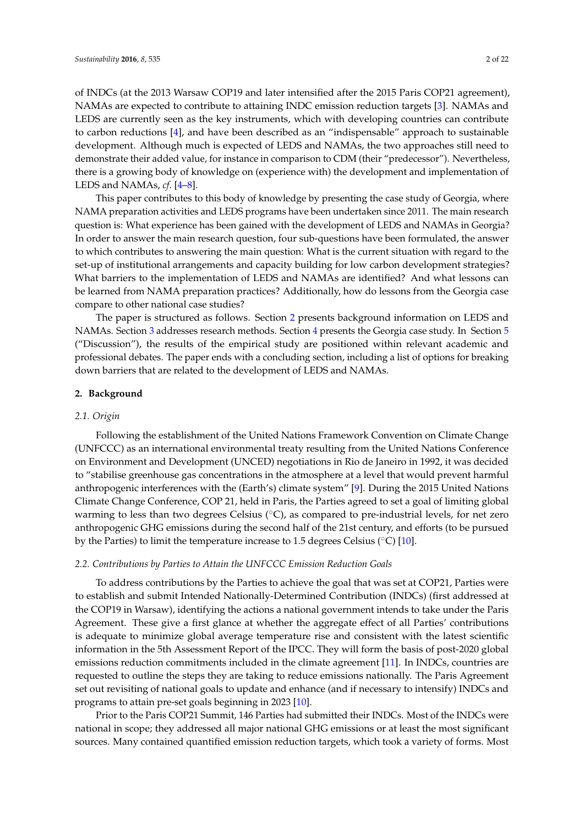of INDCs (at the 2013 Warsaw COP19 and later intensified after the 2015 Paris COP21 agreement), NAMAs are expected to contribute to attaining INDC emission reduction targets [\[3\]](#page-19-2). NAMAs and LEDS are currently seen as the key instruments, which with developing countries can contribute to carbon reductions [\[4\]](#page-20-0), and have been described as an "indispensable" approach to sustainable development. Although much is expected of LEDS and NAMAs, the two approaches still need to demonstrate their added value, for instance in comparison to CDM (their "predecessor"). Nevertheless, there is a growing body of knowledge on (experience with) the development and implementation of LEDS and NAMAs, *cf*. [\[4](#page-20-0)[–8\]](#page-20-1).

This paper contributes to this body of knowledge by presenting the case study of Georgia, where NAMA preparation activities and LEDS programs have been undertaken since 2011. The main research question is: What experience has been gained with the development of LEDS and NAMAs in Georgia? In order to answer the main research question, four sub-questions have been formulated, the answer to which contributes to answering the main question: What is the current situation with regard to the set-up of institutional arrangements and capacity building for low carbon development strategies? What barriers to the implementation of LEDS and NAMAs are identified? And what lessons can be learned from NAMA preparation practices? Additionally, how do lessons from the Georgia case compare to other national case studies?

The paper is structured as follows. Section [2](#page-1-0) presents background information on LEDS and NAMAs. Section [3](#page-6-0) addresses research methods. Section [4](#page-8-0) presents the Georgia case study. In Section [5](#page-14-0) ("Discussion"), the results of the empirical study are positioned within relevant academic and professional debates. The paper ends with a concluding section, including a list of options for breaking down barriers that are related to the development of LEDS and NAMAs.

## <span id="page-1-0"></span>**2. Background**

## *2.1. Origin*

Following the establishment of the United Nations Framework Convention on Climate Change (UNFCCC) as an international environmental treaty resulting from the United Nations Conference on Environment and Development (UNCED) negotiations in Rio de Janeiro in 1992, it was decided to "stabilise greenhouse gas concentrations in the atmosphere at a level that would prevent harmful anthropogenic interferences with the (Earth's) climate system" [\[9\]](#page-20-2). During the 2015 United Nations Climate Change Conference, COP 21, held in Paris, the Parties agreed to set a goal of limiting global warming to less than two degrees Celsius ( $\degree$ C), as compared to pre-industrial levels, for net zero anthropogenic GHG emissions during the second half of the 21st century, and efforts (to be pursued by the Parties) to limit the temperature increase to 1.5 degrees Celsius ( $\degree$ C) [\[10\]](#page-20-3).

#### *2.2. Contributions by Parties to Attain the UNFCCC Emission Reduction Goals*

To address contributions by the Parties to achieve the goal that was set at COP21, Parties were to establish and submit Intended Nationally-Determined Contribution (INDCs) (first addressed at the COP19 in Warsaw), identifying the actions a national government intends to take under the Paris Agreement. These give a first glance at whether the aggregate effect of all Parties' contributions is adequate to minimize global average temperature rise and consistent with the latest scientific information in the 5th Assessment Report of the IPCC. They will form the basis of post-2020 global emissions reduction commitments included in the climate agreement [\[11\]](#page-20-4). In INDCs, countries are requested to outline the steps they are taking to reduce emissions nationally. The Paris Agreement set out revisiting of national goals to update and enhance (and if necessary to intensify) INDCs and programs to attain pre-set goals beginning in 2023 [\[10\]](#page-20-3).

Prior to the Paris COP21 Summit, 146 Parties had submitted their INDCs. Most of the INDCs were national in scope; they addressed all major national GHG emissions or at least the most significant sources. Many contained quantified emission reduction targets, which took a variety of forms. Most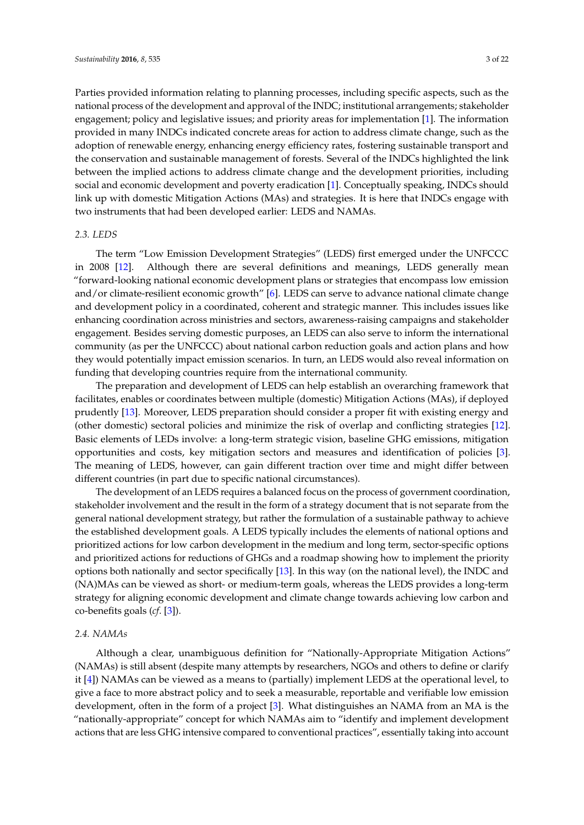Parties provided information relating to planning processes, including specific aspects, such as the national process of the development and approval of the INDC; institutional arrangements; stakeholder engagement; policy and legislative issues; and priority areas for implementation [\[1\]](#page-19-0). The information provided in many INDCs indicated concrete areas for action to address climate change, such as the adoption of renewable energy, enhancing energy efficiency rates, fostering sustainable transport and the conservation and sustainable management of forests. Several of the INDCs highlighted the link between the implied actions to address climate change and the development priorities, including social and economic development and poverty eradication [\[1\]](#page-19-0). Conceptually speaking, INDCs should link up with domestic Mitigation Actions (MAs) and strategies. It is here that INDCs engage with two instruments that had been developed earlier: LEDS and NAMAs.

## *2.3. LEDS*

The term "Low Emission Development Strategies" (LEDS) first emerged under the UNFCCC in 2008 [\[12\]](#page-20-5). Although there are several definitions and meanings, LEDS generally mean "forward-looking national economic development plans or strategies that encompass low emission and/or climate-resilient economic growth" [\[6\]](#page-20-6). LEDS can serve to advance national climate change and development policy in a coordinated, coherent and strategic manner. This includes issues like enhancing coordination across ministries and sectors, awareness-raising campaigns and stakeholder engagement. Besides serving domestic purposes, an LEDS can also serve to inform the international community (as per the UNFCCC) about national carbon reduction goals and action plans and how they would potentially impact emission scenarios. In turn, an LEDS would also reveal information on funding that developing countries require from the international community.

The preparation and development of LEDS can help establish an overarching framework that facilitates, enables or coordinates between multiple (domestic) Mitigation Actions (MAs), if deployed prudently [\[13\]](#page-20-7). Moreover, LEDS preparation should consider a proper fit with existing energy and (other domestic) sectoral policies and minimize the risk of overlap and conflicting strategies [\[12\]](#page-20-5). Basic elements of LEDs involve: a long-term strategic vision, baseline GHG emissions, mitigation opportunities and costs, key mitigation sectors and measures and identification of policies [\[3\]](#page-19-2). The meaning of LEDS, however, can gain different traction over time and might differ between different countries (in part due to specific national circumstances).

The development of an LEDS requires a balanced focus on the process of government coordination, stakeholder involvement and the result in the form of a strategy document that is not separate from the general national development strategy, but rather the formulation of a sustainable pathway to achieve the established development goals. A LEDS typically includes the elements of national options and prioritized actions for low carbon development in the medium and long term, sector-specific options and prioritized actions for reductions of GHGs and a roadmap showing how to implement the priority options both nationally and sector specifically [\[13\]](#page-20-7). In this way (on the national level), the INDC and (NA)MAs can be viewed as short- or medium-term goals, whereas the LEDS provides a long-term strategy for aligning economic development and climate change towards achieving low carbon and co-benefits goals (*cf*. [\[3\]](#page-19-2)).

## *2.4. NAMAs*

Although a clear, unambiguous definition for "Nationally-Appropriate Mitigation Actions" (NAMAs) is still absent (despite many attempts by researchers, NGOs and others to define or clarify it [\[4\]](#page-20-0)) NAMAs can be viewed as a means to (partially) implement LEDS at the operational level, to give a face to more abstract policy and to seek a measurable, reportable and verifiable low emission development, often in the form of a project [\[3\]](#page-19-2). What distinguishes an NAMA from an MA is the "nationally-appropriate" concept for which NAMAs aim to "identify and implement development actions that are less GHG intensive compared to conventional practices", essentially taking into account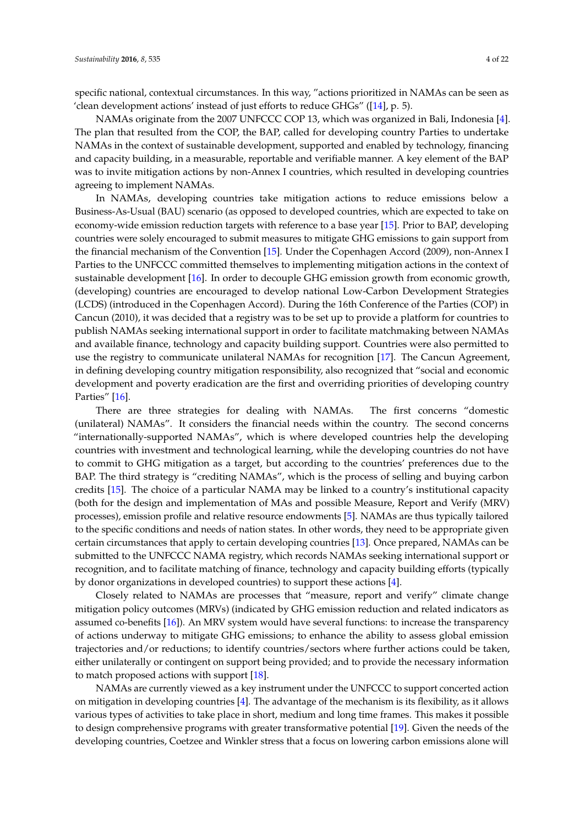specific national, contextual circumstances. In this way, "actions prioritized in NAMAs can be seen as 'clean development actions' instead of just efforts to reduce GHGs" ([\[14\]](#page-20-8), p. 5).

NAMAs originate from the 2007 UNFCCC COP 13, which was organized in Bali, Indonesia [\[4\]](#page-20-0). The plan that resulted from the COP, the BAP, called for developing country Parties to undertake NAMAs in the context of sustainable development, supported and enabled by technology, financing and capacity building, in a measurable, reportable and verifiable manner. A key element of the BAP was to invite mitigation actions by non-Annex I countries, which resulted in developing countries agreeing to implement NAMAs.

In NAMAs, developing countries take mitigation actions to reduce emissions below a Business-As-Usual (BAU) scenario (as opposed to developed countries, which are expected to take on economy-wide emission reduction targets with reference to a base year [\[15\]](#page-20-9). Prior to BAP, developing countries were solely encouraged to submit measures to mitigate GHG emissions to gain support from the financial mechanism of the Convention [\[15\]](#page-20-9). Under the Copenhagen Accord (2009), non-Annex I Parties to the UNFCCC committed themselves to implementing mitigation actions in the context of sustainable development [\[16\]](#page-20-10). In order to decouple GHG emission growth from economic growth, (developing) countries are encouraged to develop national Low-Carbon Development Strategies (LCDS) (introduced in the Copenhagen Accord). During the 16th Conference of the Parties (COP) in Cancun (2010), it was decided that a registry was to be set up to provide a platform for countries to publish NAMAs seeking international support in order to facilitate matchmaking between NAMAs and available finance, technology and capacity building support. Countries were also permitted to use the registry to communicate unilateral NAMAs for recognition [\[17\]](#page-20-11). The Cancun Agreement, in defining developing country mitigation responsibility, also recognized that "social and economic development and poverty eradication are the first and overriding priorities of developing country Parties" [\[16\]](#page-20-10).

There are three strategies for dealing with NAMAs. The first concerns "domestic (unilateral) NAMAs". It considers the financial needs within the country. The second concerns "internationally-supported NAMAs", which is where developed countries help the developing countries with investment and technological learning, while the developing countries do not have to commit to GHG mitigation as a target, but according to the countries' preferences due to the BAP. The third strategy is "crediting NAMAs", which is the process of selling and buying carbon credits [\[15\]](#page-20-9). The choice of a particular NAMA may be linked to a country's institutional capacity (both for the design and implementation of MAs and possible Measure, Report and Verify (MRV) processes), emission profile and relative resource endowments [\[5\]](#page-20-12). NAMAs are thus typically tailored to the specific conditions and needs of nation states. In other words, they need to be appropriate given certain circumstances that apply to certain developing countries [\[13\]](#page-20-7). Once prepared, NAMAs can be submitted to the UNFCCC NAMA registry, which records NAMAs seeking international support or recognition, and to facilitate matching of finance, technology and capacity building efforts (typically by donor organizations in developed countries) to support these actions [\[4\]](#page-20-0).

Closely related to NAMAs are processes that "measure, report and verify" climate change mitigation policy outcomes (MRVs) (indicated by GHG emission reduction and related indicators as assumed co-benefits [\[16\]](#page-20-10)). An MRV system would have several functions: to increase the transparency of actions underway to mitigate GHG emissions; to enhance the ability to assess global emission trajectories and/or reductions; to identify countries/sectors where further actions could be taken, either unilaterally or contingent on support being provided; and to provide the necessary information to match proposed actions with support [\[18\]](#page-20-13).

NAMAs are currently viewed as a key instrument under the UNFCCC to support concerted action on mitigation in developing countries  $[4]$ . The advantage of the mechanism is its flexibility, as it allows various types of activities to take place in short, medium and long time frames. This makes it possible to design comprehensive programs with greater transformative potential [\[19\]](#page-20-14). Given the needs of the developing countries, Coetzee and Winkler stress that a focus on lowering carbon emissions alone will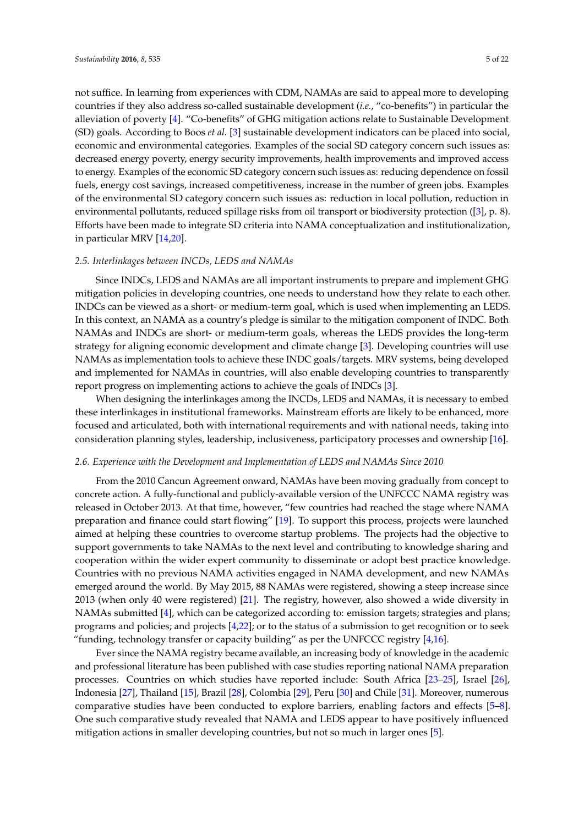not suffice. In learning from experiences with CDM, NAMAs are said to appeal more to developing countries if they also address so-called sustainable development (*i.e.*, "co-benefits") in particular the alleviation of poverty [\[4\]](#page-20-0). "Co-benefits" of GHG mitigation actions relate to Sustainable Development (SD) goals. According to Boos *et al.* [\[3\]](#page-19-2) sustainable development indicators can be placed into social, economic and environmental categories. Examples of the social SD category concern such issues as: decreased energy poverty, energy security improvements, health improvements and improved access to energy. Examples of the economic SD category concern such issues as: reducing dependence on fossil fuels, energy cost savings, increased competitiveness, increase in the number of green jobs. Examples of the environmental SD category concern such issues as: reduction in local pollution, reduction in environmental pollutants, reduced spillage risks from oil transport or biodiversity protection ([\[3\]](#page-19-2), p. 8). Efforts have been made to integrate SD criteria into NAMA conceptualization and institutionalization, in particular MRV [\[14,](#page-20-8)[20\]](#page-20-15).

## *2.5. Interlinkages between INCDs, LEDS and NAMAs*

Since INDCs, LEDS and NAMAs are all important instruments to prepare and implement GHG mitigation policies in developing countries, one needs to understand how they relate to each other. INDCs can be viewed as a short- or medium-term goal, which is used when implementing an LEDS. In this context, an NAMA as a country's pledge is similar to the mitigation component of INDC. Both NAMAs and INDCs are short- or medium-term goals, whereas the LEDS provides the long-term strategy for aligning economic development and climate change [\[3\]](#page-19-2). Developing countries will use NAMAs as implementation tools to achieve these INDC goals/targets. MRV systems, being developed and implemented for NAMAs in countries, will also enable developing countries to transparently report progress on implementing actions to achieve the goals of INDCs [\[3\]](#page-19-2).

When designing the interlinkages among the INCDs, LEDS and NAMAs, it is necessary to embed these interlinkages in institutional frameworks. Mainstream efforts are likely to be enhanced, more focused and articulated, both with international requirements and with national needs, taking into consideration planning styles, leadership, inclusiveness, participatory processes and ownership [\[16\]](#page-20-10).

# *2.6. Experience with the Development and Implementation of LEDS and NAMAs Since 2010*

From the 2010 Cancun Agreement onward, NAMAs have been moving gradually from concept to concrete action. A fully-functional and publicly-available version of the UNFCCC NAMA registry was released in October 2013. At that time, however, "few countries had reached the stage where NAMA preparation and finance could start flowing" [\[19\]](#page-20-14). To support this process, projects were launched aimed at helping these countries to overcome startup problems. The projects had the objective to support governments to take NAMAs to the next level and contributing to knowledge sharing and cooperation within the wider expert community to disseminate or adopt best practice knowledge. Countries with no previous NAMA activities engaged in NAMA development, and new NAMAs emerged around the world. By May 2015, 88 NAMAs were registered, showing a steep increase since 2013 (when only 40 were registered) [\[21\]](#page-20-16). The registry, however, also showed a wide diversity in NAMAs submitted [\[4\]](#page-20-0), which can be categorized according to: emission targets; strategies and plans; programs and policies; and projects [\[4,](#page-20-0)[22\]](#page-20-17); or to the status of a submission to get recognition or to seek "funding, technology transfer or capacity building" as per the UNFCCC registry  $[4,16]$  $[4,16]$ .

Ever since the NAMA registry became available, an increasing body of knowledge in the academic and professional literature has been published with case studies reporting national NAMA preparation processes. Countries on which studies have reported include: South Africa [\[23–](#page-20-18)[25\]](#page-20-19), Israel [\[26\]](#page-21-0), Indonesia [\[27\]](#page-21-1), Thailand [\[15\]](#page-20-9), Brazil [\[28\]](#page-21-2), Colombia [\[29\]](#page-21-3), Peru [\[30\]](#page-21-4) and Chile [\[31\]](#page-21-5). Moreover, numerous comparative studies have been conducted to explore barriers, enabling factors and effects [\[5](#page-20-12)[–8\]](#page-20-1). One such comparative study revealed that NAMA and LEDS appear to have positively influenced mitigation actions in smaller developing countries, but not so much in larger ones [\[5\]](#page-20-12).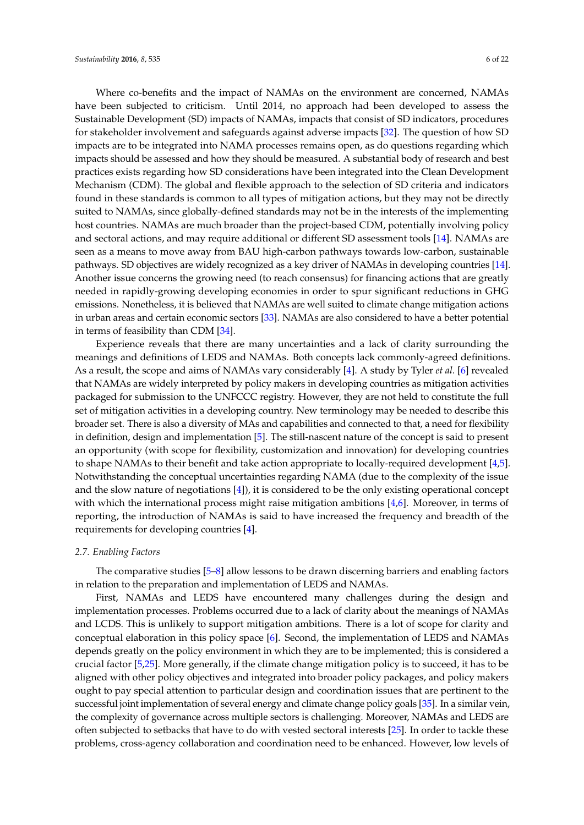Where co-benefits and the impact of NAMAs on the environment are concerned, NAMAs have been subjected to criticism. Until 2014, no approach had been developed to assess the Sustainable Development (SD) impacts of NAMAs, impacts that consist of SD indicators, procedures for stakeholder involvement and safeguards against adverse impacts [\[32\]](#page-21-6). The question of how SD impacts are to be integrated into NAMA processes remains open, as do questions regarding which impacts should be assessed and how they should be measured. A substantial body of research and best practices exists regarding how SD considerations have been integrated into the Clean Development Mechanism (CDM). The global and flexible approach to the selection of SD criteria and indicators found in these standards is common to all types of mitigation actions, but they may not be directly suited to NAMAs, since globally-defined standards may not be in the interests of the implementing host countries. NAMAs are much broader than the project-based CDM, potentially involving policy and sectoral actions, and may require additional or different SD assessment tools [\[14\]](#page-20-8). NAMAs are seen as a means to move away from BAU high-carbon pathways towards low-carbon, sustainable pathways. SD objectives are widely recognized as a key driver of NAMAs in developing countries [\[14\]](#page-20-8). Another issue concerns the growing need (to reach consensus) for financing actions that are greatly needed in rapidly-growing developing economies in order to spur significant reductions in GHG emissions. Nonetheless, it is believed that NAMAs are well suited to climate change mitigation actions in urban areas and certain economic sectors [\[33\]](#page-21-7). NAMAs are also considered to have a better potential in terms of feasibility than CDM [\[34\]](#page-21-8).

Experience reveals that there are many uncertainties and a lack of clarity surrounding the meanings and definitions of LEDS and NAMAs. Both concepts lack commonly-agreed definitions. As a result, the scope and aims of NAMAs vary considerably [\[4\]](#page-20-0). A study by Tyler *et al.* [\[6\]](#page-20-6) revealed that NAMAs are widely interpreted by policy makers in developing countries as mitigation activities packaged for submission to the UNFCCC registry. However, they are not held to constitute the full set of mitigation activities in a developing country. New terminology may be needed to describe this broader set. There is also a diversity of MAs and capabilities and connected to that, a need for flexibility in definition, design and implementation [\[5\]](#page-20-12). The still-nascent nature of the concept is said to present an opportunity (with scope for flexibility, customization and innovation) for developing countries to shape NAMAs to their benefit and take action appropriate to locally-required development [\[4,](#page-20-0)[5\]](#page-20-12). Notwithstanding the conceptual uncertainties regarding NAMA (due to the complexity of the issue and the slow nature of negotiations [\[4\]](#page-20-0)), it is considered to be the only existing operational concept with which the international process might raise mitigation ambitions [\[4](#page-20-0)[,6\]](#page-20-6). Moreover, in terms of reporting, the introduction of NAMAs is said to have increased the frequency and breadth of the requirements for developing countries [\[4\]](#page-20-0).

## *2.7. Enabling Factors*

The comparative studies [\[5](#page-20-12)[–8\]](#page-20-1) allow lessons to be drawn discerning barriers and enabling factors in relation to the preparation and implementation of LEDS and NAMAs.

First, NAMAs and LEDS have encountered many challenges during the design and implementation processes. Problems occurred due to a lack of clarity about the meanings of NAMAs and LCDS. This is unlikely to support mitigation ambitions. There is a lot of scope for clarity and conceptual elaboration in this policy space [\[6\]](#page-20-6). Second, the implementation of LEDS and NAMAs depends greatly on the policy environment in which they are to be implemented; this is considered a crucial factor [\[5,](#page-20-12)[25\]](#page-20-19). More generally, if the climate change mitigation policy is to succeed, it has to be aligned with other policy objectives and integrated into broader policy packages, and policy makers ought to pay special attention to particular design and coordination issues that are pertinent to the successful joint implementation of several energy and climate change policy goals [\[35\]](#page-21-9). In a similar vein, the complexity of governance across multiple sectors is challenging. Moreover, NAMAs and LEDS are often subjected to setbacks that have to do with vested sectoral interests [\[25\]](#page-20-19). In order to tackle these problems, cross-agency collaboration and coordination need to be enhanced. However, low levels of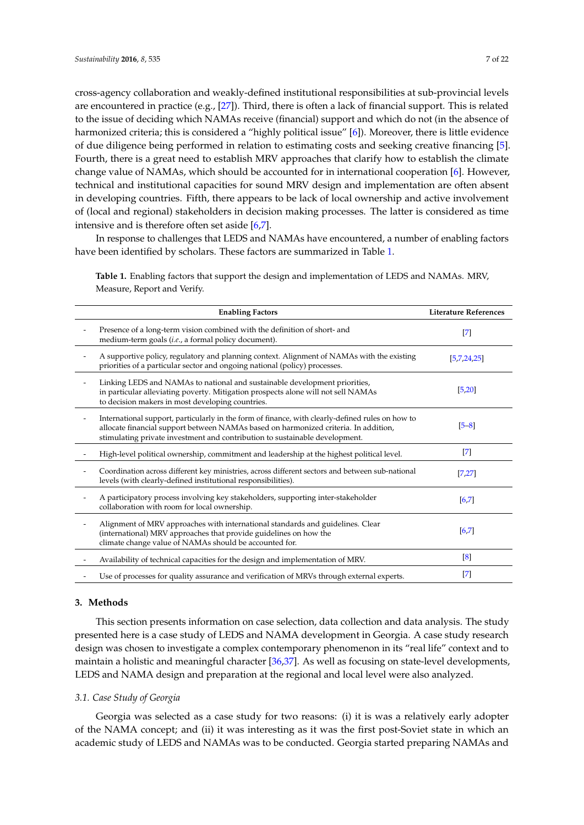cross-agency collaboration and weakly-defined institutional responsibilities at sub-provincial levels are encountered in practice (e.g., [\[27\]](#page-21-1)). Third, there is often a lack of financial support. This is related to the issue of deciding which NAMAs receive (financial) support and which do not (in the absence of harmonized criteria; this is considered a "highly political issue" [\[6\]](#page-20-6)). Moreover, there is little evidence of due diligence being performed in relation to estimating costs and seeking creative financing [\[5\]](#page-20-12). Fourth, there is a great need to establish MRV approaches that clarify how to establish the climate change value of NAMAs, which should be accounted for in international cooperation [\[6\]](#page-20-6). However, technical and institutional capacities for sound MRV design and implementation are often absent in developing countries. Fifth, there appears to be lack of local ownership and active involvement of (local and regional) stakeholders in decision making processes. The latter is considered as time intensive and is therefore often set aside [\[6,](#page-20-6)[7\]](#page-20-20).

In response to challenges that LEDS and NAMAs have encountered, a number of enabling factors have been identified by scholars. These factors are summarized in Table [1.](#page-6-1)

**Enabling Factors Literature References** Presence of a long-term vision combined with the definition of short- and medium-term goals (*i.e*., a formal policy document). [\[7\]](#page-20-20) - A supportive policy, regulatory and planning context. Alignment of NAMAs with the existing priorities of a particular sector and ongoing national (policy) processes. [\[5,](#page-20-12)[7,](#page-20-20)[24,](#page-20-21)[25\]](#page-20-19) Linking LEDS and NAMAs to national and sustainable development priorities, in particular alleviating poverty. Mitigation prospects alone will not sell NAMAs to decision makers in most developing countries. [\[5,](#page-20-12)[20\]](#page-20-15) - International support, particularly in the form of finance, with clearly-defined rules on how to allocate financial support between NAMAs based on harmonized criteria. In addition, stimulating private investment and contribution to sustainable development. [\[5–](#page-20-12)[8\]](#page-20-1) High-level political ownership, commitment and leadership at the highest political level. [\[7\]](#page-20-20) - Coordination across different key ministries, across different sectors and between sub-national levels (with clearly-defined institutional responsibilities). [\[7,](#page-20-20)[27\]](#page-21-1) A participatory process involving key stakeholders, supporting inter-stakeholder collaboration with room for local ownership. [\[6,](#page-20-6)[7\]](#page-20-20) Alignment of MRV approaches with international standards and guidelines. Clear (international) MRV approaches that provide guidelines on how the climate change value of NAMAs should be accounted for. [\[6,](#page-20-6)[7\]](#page-20-20) Availability of technical capacities for the design and implementation of MRV. [\[8\]](#page-20-1) Use of processes for quality assurance and verification of MRVs through external experts. [\[7\]](#page-20-20)

<span id="page-6-1"></span>**Table 1.** Enabling factors that support the design and implementation of LEDS and NAMAs. MRV, Measure, Report and Verify.

## <span id="page-6-0"></span>**3. Methods**

This section presents information on case selection, data collection and data analysis. The study presented here is a case study of LEDS and NAMA development in Georgia. A case study research design was chosen to investigate a complex contemporary phenomenon in its "real life" context and to maintain a holistic and meaningful character [\[36,](#page-21-10)[37\]](#page-21-11). As well as focusing on state-level developments, LEDS and NAMA design and preparation at the regional and local level were also analyzed.

#### *3.1. Case Study of Georgia*

Georgia was selected as a case study for two reasons: (i) it is was a relatively early adopter of the NAMA concept; and (ii) it was interesting as it was the first post-Soviet state in which an academic study of LEDS and NAMAs was to be conducted. Georgia started preparing NAMAs and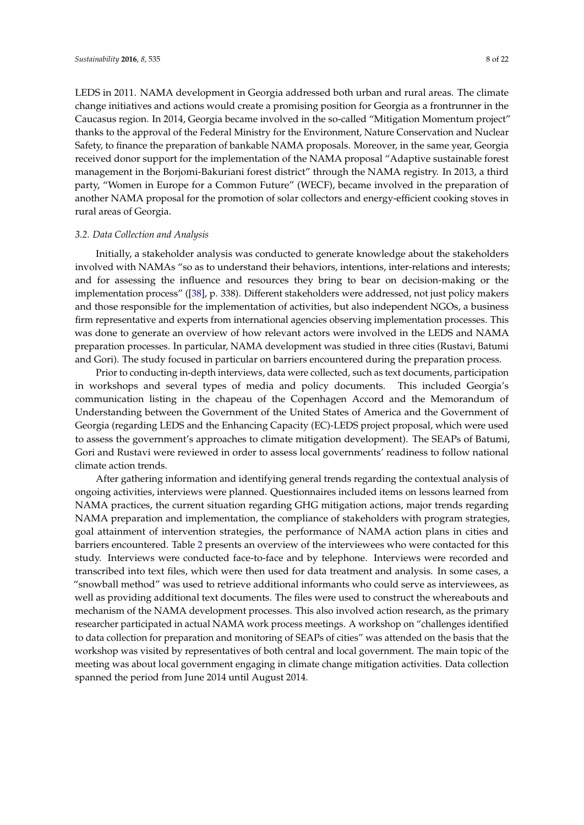LEDS in 2011. NAMA development in Georgia addressed both urban and rural areas. The climate change initiatives and actions would create a promising position for Georgia as a frontrunner in the Caucasus region. In 2014, Georgia became involved in the so-called "Mitigation Momentum project" thanks to the approval of the Federal Ministry for the Environment, Nature Conservation and Nuclear Safety, to finance the preparation of bankable NAMA proposals. Moreover, in the same year, Georgia received donor support for the implementation of the NAMA proposal "Adaptive sustainable forest management in the Borjomi-Bakuriani forest district" through the NAMA registry. In 2013, a third party, "Women in Europe for a Common Future" (WECF), became involved in the preparation of another NAMA proposal for the promotion of solar collectors and energy-efficient cooking stoves in rural areas of Georgia.

## *3.2. Data Collection and Analysis*

Initially, a stakeholder analysis was conducted to generate knowledge about the stakeholders involved with NAMAs "so as to understand their behaviors, intentions, inter-relations and interests; and for assessing the influence and resources they bring to bear on decision-making or the implementation process" ([\[38\]](#page-21-12), p. 338). Different stakeholders were addressed, not just policy makers and those responsible for the implementation of activities, but also independent NGOs, a business firm representative and experts from international agencies observing implementation processes. This was done to generate an overview of how relevant actors were involved in the LEDS and NAMA preparation processes. In particular, NAMA development was studied in three cities (Rustavi, Batumi and Gori). The study focused in particular on barriers encountered during the preparation process.

Prior to conducting in-depth interviews, data were collected, such as text documents, participation in workshops and several types of media and policy documents. This included Georgia's communication listing in the chapeau of the Copenhagen Accord and the Memorandum of Understanding between the Government of the United States of America and the Government of Georgia (regarding LEDS and the Enhancing Capacity (EC)-LEDS project proposal, which were used to assess the government's approaches to climate mitigation development). The SEAPs of Batumi, Gori and Rustavi were reviewed in order to assess local governments' readiness to follow national climate action trends.

After gathering information and identifying general trends regarding the contextual analysis of ongoing activities, interviews were planned. Questionnaires included items on lessons learned from NAMA practices, the current situation regarding GHG mitigation actions, major trends regarding NAMA preparation and implementation, the compliance of stakeholders with program strategies, goal attainment of intervention strategies, the performance of NAMA action plans in cities and barriers encountered. Table [2](#page-8-1) presents an overview of the interviewees who were contacted for this study. Interviews were conducted face-to-face and by telephone. Interviews were recorded and transcribed into text files, which were then used for data treatment and analysis. In some cases, a "snowball method" was used to retrieve additional informants who could serve as interviewees, as well as providing additional text documents. The files were used to construct the whereabouts and mechanism of the NAMA development processes. This also involved action research, as the primary researcher participated in actual NAMA work process meetings. A workshop on "challenges identified to data collection for preparation and monitoring of SEAPs of cities" was attended on the basis that the workshop was visited by representatives of both central and local government. The main topic of the meeting was about local government engaging in climate change mitigation activities. Data collection spanned the period from June 2014 until August 2014.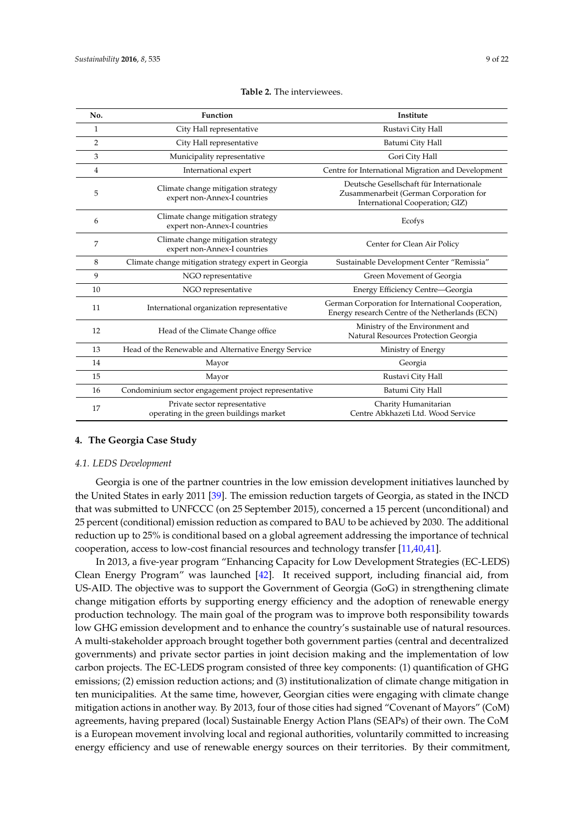<span id="page-8-1"></span>

| No. | <b>Function</b>                                                                                   | Institute                                                                                                             |
|-----|---------------------------------------------------------------------------------------------------|-----------------------------------------------------------------------------------------------------------------------|
| 1   | City Hall representative                                                                          | Rustavi City Hall                                                                                                     |
| 2   | City Hall representative                                                                          | Batumi City Hall                                                                                                      |
| 3   | Municipality representative                                                                       | Gori City Hall                                                                                                        |
| 4   | International expert                                                                              | Centre for International Migration and Development                                                                    |
| 5   | Climate change mitigation strategy<br>expert non-Annex-I countries                                | Deutsche Gesellschaft für Internationale<br>Zusammenarbeit (German Corporation for<br>International Cooperation; GIZ) |
| 6   | Climate change mitigation strategy<br>expert non-Annex-I countries                                | Ecofys                                                                                                                |
| 7   | Climate change mitigation strategy<br>Center for Clean Air Policy<br>expert non-Annex-I countries |                                                                                                                       |
| 8   | Climate change mitigation strategy expert in Georgia                                              | Sustainable Development Center "Remissia"                                                                             |
| 9   | NGO representative                                                                                | Green Movement of Georgia                                                                                             |
| 10  | NGO representative                                                                                | Energy Efficiency Centre-Georgia                                                                                      |
| 11  | International organization representative                                                         | German Corporation for International Cooperation,<br>Energy research Centre of the Netherlands (ECN)                  |
| 12  | Head of the Climate Change office                                                                 | Ministry of the Environment and<br>Natural Resources Protection Georgia                                               |
| 13  | Head of the Renewable and Alternative Energy Service                                              | Ministry of Energy                                                                                                    |
| 14  | Mayor                                                                                             | Georgia                                                                                                               |
| 15  | Mayor                                                                                             | Rustavi City Hall                                                                                                     |
| 16  | Condominium sector engagement project representative                                              | Batumi City Hall                                                                                                      |
| 17  | Private sector representative<br>operating in the green buildings market                          | Charity Humanitarian<br>Centre Abkhazeti Ltd. Wood Service                                                            |

## <span id="page-8-0"></span>**4. The Georgia Case Study**

#### *4.1. LEDS Development*

Georgia is one of the partner countries in the low emission development initiatives launched by the United States in early 2011 [\[39\]](#page-21-13). The emission reduction targets of Georgia, as stated in the INCD that was submitted to UNFCCC (on 25 September 2015), concerned a 15 percent (unconditional) and 25 percent (conditional) emission reduction as compared to BAU to be achieved by 2030. The additional reduction up to 25% is conditional based on a global agreement addressing the importance of technical cooperation, access to low-cost financial resources and technology transfer [\[11](#page-20-4)[,40,](#page-21-14)[41\]](#page-21-15).

In 2013, a five-year program "Enhancing Capacity for Low Development Strategies (EC-LEDS) Clean Energy Program" was launched [\[42\]](#page-21-16). It received support, including financial aid, from US-AID. The objective was to support the Government of Georgia (GoG) in strengthening climate change mitigation efforts by supporting energy efficiency and the adoption of renewable energy production technology. The main goal of the program was to improve both responsibility towards low GHG emission development and to enhance the country's sustainable use of natural resources. A multi-stakeholder approach brought together both government parties (central and decentralized governments) and private sector parties in joint decision making and the implementation of low carbon projects. The EC-LEDS program consisted of three key components: (1) quantification of GHG emissions; (2) emission reduction actions; and (3) institutionalization of climate change mitigation in ten municipalities. At the same time, however, Georgian cities were engaging with climate change mitigation actions in another way. By 2013, four of those cities had signed "Covenant of Mayors" (CoM) agreements, having prepared (local) Sustainable Energy Action Plans (SEAPs) of their own. The CoM is a European movement involving local and regional authorities, voluntarily committed to increasing energy efficiency and use of renewable energy sources on their territories. By their commitment,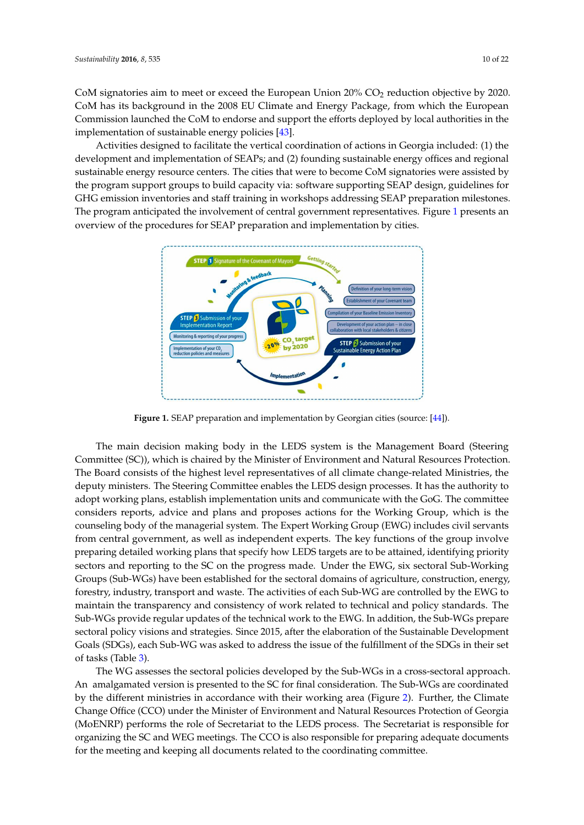CoM signatories aim to meet or exceed the European Union  $20\%$  CO<sub>2</sub> reduction objective by 2020. CoM has its background in the 2008 EU Climate and Energy Package, from which the European Commission launched the CoM to endorse and support the efforts deployed by local authorities in the implementation of sustainable energy policies [\[43\]](#page-21-17).

Activities designed to facilitate the vertical coordination of actions in Georgia included: (1) the development and implementation of SEAPs; and (2) founding sustainable energy offices and regional sustainable energy resource centers. The cities that were to become CoM signatories were assisted by the program support groups to build capacity via: software supporting SEAP design, guidelines for GHG emission inventories and staff training in workshops addressing SEAP preparation milestones. The program anticipated the involvement of central government representatives. Figure [1](#page-9-0) presents an overview of the procedures for SEAP preparation and implementation by cities.

<span id="page-9-0"></span>

**Figure 1.** SEAP preparation and implementation by Georgian cities (source: [44]). **Figure 1.** SEAP preparation and implementation by Georgian cities (source: [\[44\]](#page-21-18)).

Committee (SC)), which is chaired by the Minister of Environment and Natural Resources The main decision making body in the LEDS system is the Management Board (Steering Committee (SC)), which is chaired by the Minister of Environment and Natural Resources Protection. The Board consists of the highest level representatives of all climate change-related Ministries, the  $\begin{bmatrix} 0 & 0 & 0 \end{bmatrix}$  committee considers reports and plans and plans and plans and plans and plans  $\begin{bmatrix} 0 & 0 & 0 \end{bmatrix}$ deputy ministers. The Steering Committee enables the LEDS design processes. It has the authority to adopt working plans, establish implementation units and communicate with the GoG. The committee considers reports, advice and plans and proposes actions for the Working Group, which is the attained, independentifying priority sectors and reporting to the scalar priority sectors  $\frac{1}{\sqrt{2}}$ counseling body of the managerial system. The Expert Working Group (EWG) includes civil servants from central government, as well as independent experts. The key functions of the group involve preparing detailed working plans that specify how LEDS targets are to be attained, identifying priority  $t_{\text{tot}}$  standards. The Sub-WGs provide regular updates of the technical work to the technical work to the technical work to the technical work to the technical work to the technical work to the technical work to the tec sectors and reporting to the SC on the progress made. Under the EWG, six sectoral Sub-Working Groups (Sub-WGs) have been established for the sectoral domains of agriculture, construction, energy, forestry, industry, transport and waste. The activities of each Sub-WG are controlled by the EWG to maintain the transparency and consistency of work related to technical and policy standards. The Sub-WGs provide regular updates of the technical work to the EWG. In addition*,* the Sub-WGs prepare sectoral policy visions and strategies. Since 2015, after the elaboration of the Sustainable Development sustainable agriculture. Goals (SDGs), each Sub-WG was asked to address the issue of the fulfillment of the SDGs in their set  $\geq 3$ . of tasks (Table [3\)](#page-10-0).

 $4000000$   $\mu$  $G$  15. Protection and produce the functional exception  $G$ The WG assesses the sectoral policies developed by the Sub-WGs in a cross-sectoral approach. An amalgamated version is presented to the SC for final consideration. The Sub-WGs are coordinated by the different ministries in accordance with their working area (Figure [2\)](#page-10-1). Further, the Climate and Industry and production consumption patterns. Change Office (CCO) under the Minister of Environment and Natural Resources Protection of Georgia  $T_{\rm G}$  assesses the second policies developed by the Sub-WGs in a cross-sectoral approach. organizing the SC and WEG meetings. The CCO is also responsible for preparing adequate documents for the meeting and keeping all documents related to the coordinating committee. (MoENRP) performs the role of Secretariat to the LEDS process. The Secretariat is responsible for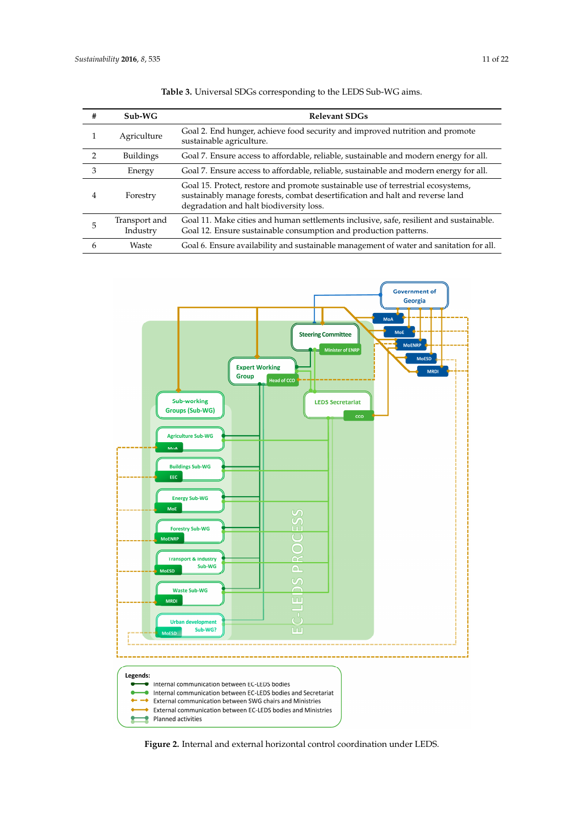<span id="page-10-0"></span>

| #             | $Sub-WG$                  | <b>Relevant SDGs</b>                                                                                                                                                                                        |
|---------------|---------------------------|-------------------------------------------------------------------------------------------------------------------------------------------------------------------------------------------------------------|
|               | Agriculture               | Goal 2. End hunger, achieve food security and improved nutrition and promote<br>sustainable agriculture.                                                                                                    |
| $\mathcal{D}$ | <b>Buildings</b>          | Goal 7. Ensure access to affordable, reliable, sustainable and modern energy for all.                                                                                                                       |
| 3             | Energy                    | Goal 7. Ensure access to affordable, reliable, sustainable and modern energy for all.                                                                                                                       |
| 4             | Forestry                  | Goal 15. Protect, restore and promote sustainable use of terrestrial ecosystems,<br>sustainably manage forests, combat desertification and halt and reverse land<br>degradation and halt biodiversity loss. |
|               | Transport and<br>Industry | Goal 11. Make cities and human settlements inclusive, safe, resilient and sustainable.<br>Goal 12. Ensure sustainable consumption and production patterns.                                                  |
| 6             | Waste                     | Goal 6. Ensure availability and sustainable management of water and sanitation for all.                                                                                                                     |

**Table 3.** Universal SDGs corresponding to the LEDS Sub-WG aims.

<span id="page-10-1"></span>

**Figure 2.** Internal and external horizontal control coordination under LEDS. **Figure 2.** Internal and external horizontal control coordination under LEDS.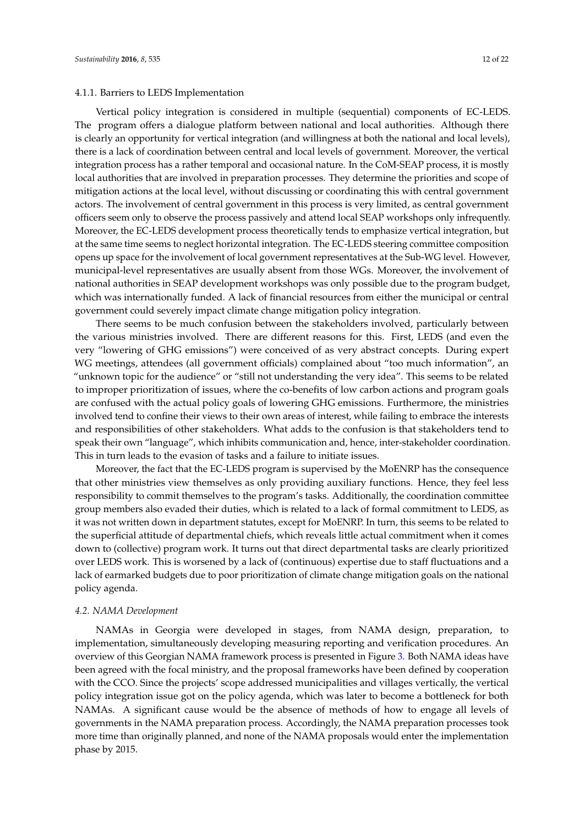## 4.1.1. Barriers to LEDS Implementation

Vertical policy integration is considered in multiple (sequential) components of EC-LEDS. The program offers a dialogue platform between national and local authorities. Although there is clearly an opportunity for vertical integration (and willingness at both the national and local levels), there is a lack of coordination between central and local levels of government. Moreover, the vertical integration process has a rather temporal and occasional nature. In the CoM-SEAP process, it is mostly local authorities that are involved in preparation processes. They determine the priorities and scope of mitigation actions at the local level, without discussing or coordinating this with central government actors. The involvement of central government in this process is very limited, as central government officers seem only to observe the process passively and attend local SEAP workshops only infrequently. Moreover, the EC-LEDS development process theoretically tends to emphasize vertical integration, but at the same time seems to neglect horizontal integration. The EC-LEDS steering committee composition opens up space for the involvement of local government representatives at the Sub-WG level. However, municipal-level representatives are usually absent from those WGs. Moreover, the involvement of national authorities in SEAP development workshops was only possible due to the program budget, which was internationally funded. A lack of financial resources from either the municipal or central government could severely impact climate change mitigation policy integration.

There seems to be much confusion between the stakeholders involved, particularly between the various ministries involved. There are different reasons for this. First, LEDS (and even the very "lowering of GHG emissions") were conceived of as very abstract concepts. During expert WG meetings, attendees (all government officials) complained about "too much information", an "unknown topic for the audience" or "still not understanding the very idea". This seems to be related to improper prioritization of issues, where the co-benefits of low carbon actions and program goals are confused with the actual policy goals of lowering GHG emissions. Furthermore, the ministries involved tend to confine their views to their own areas of interest, while failing to embrace the interests and responsibilities of other stakeholders. What adds to the confusion is that stakeholders tend to speak their own "language", which inhibits communication and, hence, inter-stakeholder coordination. This in turn leads to the evasion of tasks and a failure to initiate issues.

Moreover, the fact that the EC-LEDS program is supervised by the MoENRP has the consequence that other ministries view themselves as only providing auxiliary functions. Hence, they feel less responsibility to commit themselves to the program's tasks. Additionally, the coordination committee group members also evaded their duties, which is related to a lack of formal commitment to LEDS, as it was not written down in department statutes, except for MoENRP. In turn, this seems to be related to the superficial attitude of departmental chiefs, which reveals little actual commitment when it comes down to (collective) program work. It turns out that direct departmental tasks are clearly prioritized over LEDS work. This is worsened by a lack of (continuous) expertise due to staff fluctuations and a lack of earmarked budgets due to poor prioritization of climate change mitigation goals on the national policy agenda.

#### *4.2. NAMA Development*

NAMAs in Georgia were developed in stages, from NAMA design, preparation, to implementation, simultaneously developing measuring reporting and verification procedures. An overview of this Georgian NAMA framework process is presented in Figure [3.](#page-12-0) Both NAMA ideas have been agreed with the focal ministry, and the proposal frameworks have been defined by cooperation with the CCO. Since the projects' scope addressed municipalities and villages vertically, the vertical policy integration issue got on the policy agenda, which was later to become a bottleneck for both NAMAs. A significant cause would be the absence of methods of how to engage all levels of governments in the NAMA preparation process. Accordingly, the NAMA preparation processes took more time than originally planned, and none of the NAMA proposals would enter the implementation phase by 2015.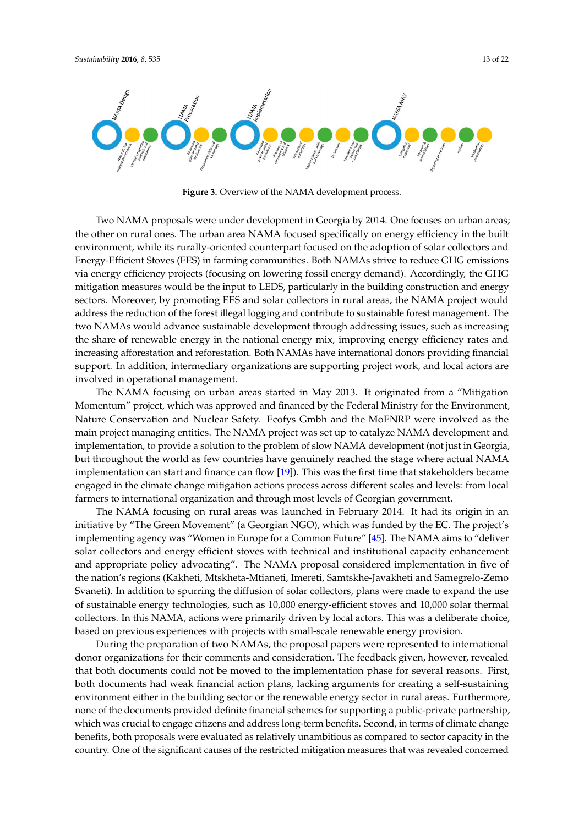<span id="page-12-0"></span>

**Figure 3.** Overview of the NAMA development process. **Figure 3.** Overview of the NAMA development process.

Two NAMA proposals were under development in Georgia by 2014. One focuses on urban Two NAMA proposals were under development in Georgia by 2014. One focuses on urban areas; the other on rural ones. The urban area NAMA focused specifically on energy efficiency in the built environment, while its rurally-oriented counterpart focused on the adoption of solar collectors and and Energy-Efficient Stoves (EES) in farming communities. Both NAMAs strive to reduce GHG Energy-Efficient Stoves (EES) in farming communities. Both NAMAs strive to reduce GHG emissions via energy efficiency projects (focusing on lowering fossil energy demand). Accordingly, the GHG mitigation measures would be the input to LEDS, particularly in the building construction and energy sectors. Moreover, by promoting EES and solar collectors in rural areas, the NAMA project would address the reduction of the forest illegal logging and contribute to sustainable forest management. The two NAMAs would advance sustainable development through addressing issues, such as increasing the share of renewable energy in the national energy mix, improving energy efficiency rates and increasing afforestation and reforestation. Both NAMAs have international donors providing financial support. In addition, intermediary organizations are supporting project work, and local actors are involved in operational management.

The NAMA focusing on urban areas started in May 2013. It originated from a "Mitigation The NAMA focusing on urban areas started in May 2013. It originated from a "Mitigation Momentum" project, which was approved and financed by the Federal Ministry for the Momentum" project, which was approved and financed by the Federal Ministry for the Environment, Nature Conservation and Nuclear Safety. Ecofys Gmbh and the MoENRP were involved as the main project managing entities. The NAMA project was set up to catalyze NAMA development and implementation, to provide a solution to the problem of slow NAMA development (not just in Georgia, but throughout the world as few countries have genuinely reached the stage where actual NAMA implementation can start and finance can flow  $[19]$ . This was the first time that stakeholders became engaged in the climate change mitigation actions process across different scales and levels: from local farmers to international organization and through most levels of Georgian government.

The NAMA focusing on rural areas was launched in February 2014. It had its origin in an initiative by "The Green Movement" (a Georgian NGO), which was funded by the EC. The project's implementing agency was "Women in Europe for a Common Future" [\[45\]](#page-21-19). The NAMA aims to "deliver solar collectors and energy efficient stoves with technical and institutional capacity enhancement and appropriate policy advocating". The NAMA proposal considered implementation in five of the nation's regions (Kakheti, Mtskheta-Mtianeti, Imereti, Samtskhe-Javakheti and Samegrelo-Zemo Svaneti). In addition to spurring the diffusion of solar collectors, plans were made to expand the use of sustainable energy technologies, such as 10,000 energy-efficient stoves and 10,000 solar thermal collectors. In this NAMA, actions were primarily driven by local actors. This was a deliberate choice, based on previous experiences with projects with small-scale renewable energy provision.

During the preparation of two NAMAs, the proposal papers were represented to international donor organizations for their comments and consideration. The feedback given, however, revealed that both documents could not be moved to the implementation phase for several reasons. First, both documents had weak financial action plans, lacking arguments for creating a self-sustaining environment either in the building sector or the renewable energy sector in rural areas. Furthermore, none of the documents provided definite financial schemes for supporting a public-private partnership, which was crucial to engage citizens and address long-term benefits. Second, in terms of climate change benefits, both proposals were evaluated as relatively unambitious as compared to sector capacity in the country. One of the significant causes of the restricted mitigation measures that was revealed concerned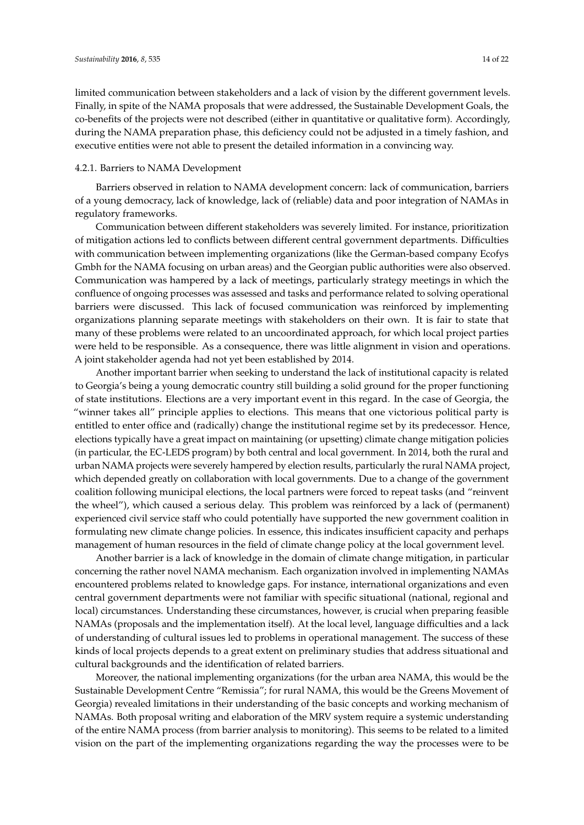limited communication between stakeholders and a lack of vision by the different government levels. Finally, in spite of the NAMA proposals that were addressed, the Sustainable Development Goals, the co-benefits of the projects were not described (either in quantitative or qualitative form). Accordingly, during the NAMA preparation phase, this deficiency could not be adjusted in a timely fashion, and executive entities were not able to present the detailed information in a convincing way.

## 4.2.1. Barriers to NAMA Development

Barriers observed in relation to NAMA development concern: lack of communication, barriers of a young democracy, lack of knowledge, lack of (reliable) data and poor integration of NAMAs in regulatory frameworks.

Communication between different stakeholders was severely limited. For instance, prioritization of mitigation actions led to conflicts between different central government departments. Difficulties with communication between implementing organizations (like the German-based company Ecofys Gmbh for the NAMA focusing on urban areas) and the Georgian public authorities were also observed. Communication was hampered by a lack of meetings, particularly strategy meetings in which the confluence of ongoing processes was assessed and tasks and performance related to solving operational barriers were discussed. This lack of focused communication was reinforced by implementing organizations planning separate meetings with stakeholders on their own. It is fair to state that many of these problems were related to an uncoordinated approach, for which local project parties were held to be responsible. As a consequence, there was little alignment in vision and operations. A joint stakeholder agenda had not yet been established by 2014.

Another important barrier when seeking to understand the lack of institutional capacity is related to Georgia's being a young democratic country still building a solid ground for the proper functioning of state institutions. Elections are a very important event in this regard. In the case of Georgia, the "winner takes all" principle applies to elections. This means that one victorious political party is entitled to enter office and (radically) change the institutional regime set by its predecessor. Hence, elections typically have a great impact on maintaining (or upsetting) climate change mitigation policies (in particular, the EC-LEDS program) by both central and local government. In 2014, both the rural and urban NAMA projects were severely hampered by election results, particularly the rural NAMA project, which depended greatly on collaboration with local governments. Due to a change of the government coalition following municipal elections, the local partners were forced to repeat tasks (and "reinvent the wheel"), which caused a serious delay. This problem was reinforced by a lack of (permanent) experienced civil service staff who could potentially have supported the new government coalition in formulating new climate change policies. In essence, this indicates insufficient capacity and perhaps management of human resources in the field of climate change policy at the local government level.

Another barrier is a lack of knowledge in the domain of climate change mitigation, in particular concerning the rather novel NAMA mechanism. Each organization involved in implementing NAMAs encountered problems related to knowledge gaps. For instance, international organizations and even central government departments were not familiar with specific situational (national, regional and local) circumstances. Understanding these circumstances, however, is crucial when preparing feasible NAMAs (proposals and the implementation itself). At the local level, language difficulties and a lack of understanding of cultural issues led to problems in operational management. The success of these kinds of local projects depends to a great extent on preliminary studies that address situational and cultural backgrounds and the identification of related barriers.

Moreover, the national implementing organizations (for the urban area NAMA, this would be the Sustainable Development Centre "Remissia"; for rural NAMA, this would be the Greens Movement of Georgia) revealed limitations in their understanding of the basic concepts and working mechanism of NAMAs. Both proposal writing and elaboration of the MRV system require a systemic understanding of the entire NAMA process (from barrier analysis to monitoring). This seems to be related to a limited vision on the part of the implementing organizations regarding the way the processes were to be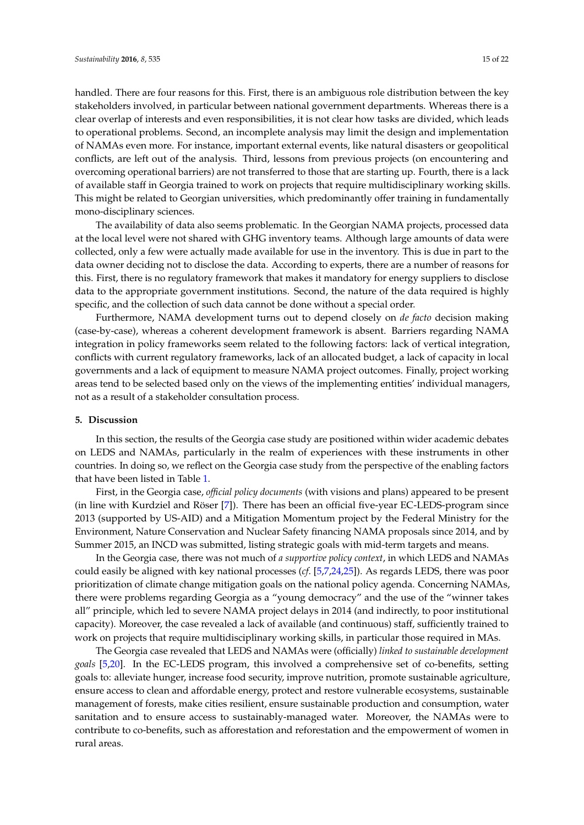handled. There are four reasons for this. First, there is an ambiguous role distribution between the key stakeholders involved, in particular between national government departments. Whereas there is a clear overlap of interests and even responsibilities, it is not clear how tasks are divided, which leads to operational problems. Second, an incomplete analysis may limit the design and implementation of NAMAs even more. For instance, important external events, like natural disasters or geopolitical conflicts, are left out of the analysis. Third, lessons from previous projects (on encountering and overcoming operational barriers) are not transferred to those that are starting up. Fourth, there is a lack of available staff in Georgia trained to work on projects that require multidisciplinary working skills. This might be related to Georgian universities, which predominantly offer training in fundamentally mono-disciplinary sciences.

The availability of data also seems problematic. In the Georgian NAMA projects, processed data at the local level were not shared with GHG inventory teams. Although large amounts of data were collected, only a few were actually made available for use in the inventory. This is due in part to the data owner deciding not to disclose the data. According to experts, there are a number of reasons for this. First, there is no regulatory framework that makes it mandatory for energy suppliers to disclose data to the appropriate government institutions. Second, the nature of the data required is highly specific, and the collection of such data cannot be done without a special order.

Furthermore, NAMA development turns out to depend closely on *de facto* decision making (case-by-case), whereas a coherent development framework is absent. Barriers regarding NAMA integration in policy frameworks seem related to the following factors: lack of vertical integration, conflicts with current regulatory frameworks, lack of an allocated budget, a lack of capacity in local governments and a lack of equipment to measure NAMA project outcomes. Finally, project working areas tend to be selected based only on the views of the implementing entities' individual managers, not as a result of a stakeholder consultation process.

#### <span id="page-14-0"></span>**5. Discussion**

In this section, the results of the Georgia case study are positioned within wider academic debates on LEDS and NAMAs, particularly in the realm of experiences with these instruments in other countries. In doing so, we reflect on the Georgia case study from the perspective of the enabling factors that have been listed in Table [1.](#page-6-1)

First, in the Georgia case, *official policy documents* (with visions and plans) appeared to be present (in line with Kurdziel and Röser [\[7\]](#page-20-20)). There has been an official five-year EC-LEDS-program since 2013 (supported by US-AID) and a Mitigation Momentum project by the Federal Ministry for the Environment, Nature Conservation and Nuclear Safety financing NAMA proposals since 2014, and by Summer 2015, an INCD was submitted, listing strategic goals with mid-term targets and means.

In the Georgia case, there was not much of *a supportive policy context*, in which LEDS and NAMAs could easily be aligned with key national processes (*cf*. [\[5,](#page-20-12)[7](#page-20-20)[,24](#page-20-21)[,25\]](#page-20-19)). As regards LEDS, there was poor prioritization of climate change mitigation goals on the national policy agenda. Concerning NAMAs, there were problems regarding Georgia as a "young democracy" and the use of the "winner takes all" principle, which led to severe NAMA project delays in 2014 (and indirectly, to poor institutional capacity). Moreover, the case revealed a lack of available (and continuous) staff, sufficiently trained to work on projects that require multidisciplinary working skills, in particular those required in MAs.

The Georgia case revealed that LEDS and NAMAs were (officially) *linked to sustainable development goals* [\[5,](#page-20-12)[20\]](#page-20-15). In the EC-LEDS program, this involved a comprehensive set of co-benefits, setting goals to: alleviate hunger, increase food security, improve nutrition, promote sustainable agriculture, ensure access to clean and affordable energy, protect and restore vulnerable ecosystems, sustainable management of forests, make cities resilient, ensure sustainable production and consumption, water sanitation and to ensure access to sustainably-managed water. Moreover, the NAMAs were to contribute to co-benefits, such as afforestation and reforestation and the empowerment of women in rural areas.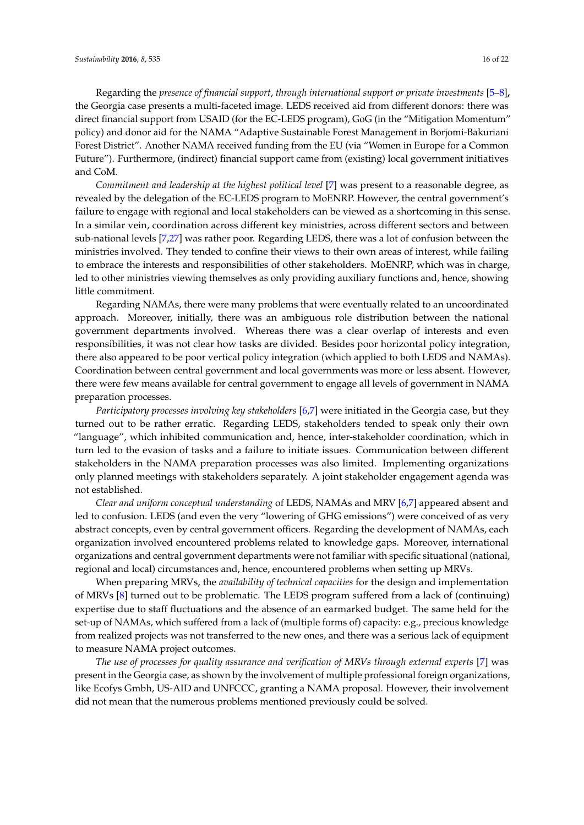Regarding the *presence of financial support*, *through international support or private investments* [\[5](#page-20-12)[–8\]](#page-20-1)**,** the Georgia case presents a multi-faceted image. LEDS received aid from different donors: there was direct financial support from USAID (for the EC-LEDS program), GoG (in the "Mitigation Momentum" policy) and donor aid for the NAMA "Adaptive Sustainable Forest Management in Borjomi-Bakuriani Forest District". Another NAMA received funding from the EU (via "Women in Europe for a Common Future"). Furthermore, (indirect) financial support came from (existing) local government initiatives and CoM.

*Commitment and leadership at the highest political level* [\[7\]](#page-20-20) was present to a reasonable degree, as revealed by the delegation of the EC-LEDS program to MoENRP. However, the central government's failure to engage with regional and local stakeholders can be viewed as a shortcoming in this sense. In a similar vein, coordination across different key ministries, across different sectors and between sub-national levels [\[7,](#page-20-20)[27\]](#page-21-1) was rather poor. Regarding LEDS, there was a lot of confusion between the ministries involved. They tended to confine their views to their own areas of interest, while failing to embrace the interests and responsibilities of other stakeholders. MoENRP, which was in charge, led to other ministries viewing themselves as only providing auxiliary functions and, hence, showing little commitment.

Regarding NAMAs, there were many problems that were eventually related to an uncoordinated approach. Moreover, initially, there was an ambiguous role distribution between the national government departments involved. Whereas there was a clear overlap of interests and even responsibilities, it was not clear how tasks are divided. Besides poor horizontal policy integration, there also appeared to be poor vertical policy integration (which applied to both LEDS and NAMAs). Coordination between central government and local governments was more or less absent. However, there were few means available for central government to engage all levels of government in NAMA preparation processes.

*Participatory processes involving key stakeholders* [\[6](#page-20-6)[,7\]](#page-20-20) were initiated in the Georgia case, but they turned out to be rather erratic. Regarding LEDS, stakeholders tended to speak only their own "language", which inhibited communication and, hence, inter-stakeholder coordination, which in turn led to the evasion of tasks and a failure to initiate issues. Communication between different stakeholders in the NAMA preparation processes was also limited. Implementing organizations only planned meetings with stakeholders separately. A joint stakeholder engagement agenda was not established.

*Clear and uniform conceptual understanding* of LEDS, NAMAs and MRV [\[6,](#page-20-6)[7\]](#page-20-20) appeared absent and led to confusion. LEDS (and even the very "lowering of GHG emissions") were conceived of as very abstract concepts, even by central government officers. Regarding the development of NAMAs, each organization involved encountered problems related to knowledge gaps. Moreover, international organizations and central government departments were not familiar with specific situational (national, regional and local) circumstances and, hence, encountered problems when setting up MRVs.

When preparing MRVs, the *availability of technical capacities* for the design and implementation of MRVs [\[8\]](#page-20-1) turned out to be problematic. The LEDS program suffered from a lack of (continuing) expertise due to staff fluctuations and the absence of an earmarked budget. The same held for the set-up of NAMAs, which suffered from a lack of (multiple forms of) capacity: e.g., precious knowledge from realized projects was not transferred to the new ones, and there was a serious lack of equipment to measure NAMA project outcomes.

*The use of processes for quality assurance and verification of MRVs through external experts* [\[7\]](#page-20-20) was present in the Georgia case, as shown by the involvement of multiple professional foreign organizations, like Ecofys Gmbh, US-AID and UNFCCC, granting a NAMA proposal. However, their involvement did not mean that the numerous problems mentioned previously could be solved.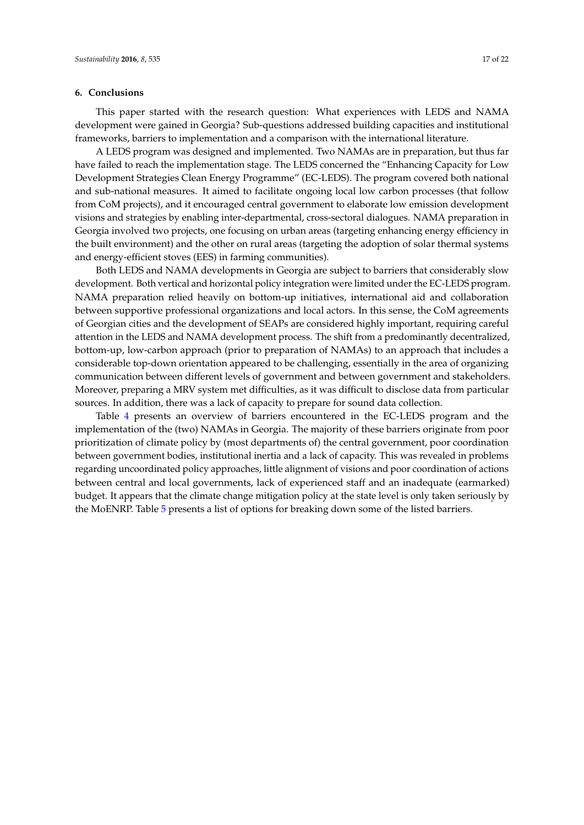## **6. Conclusions**

This paper started with the research question: What experiences with LEDS and NAMA development were gained in Georgia? Sub-questions addressed building capacities and institutional frameworks, barriers to implementation and a comparison with the international literature.

A LEDS program was designed and implemented. Two NAMAs are in preparation, but thus far have failed to reach the implementation stage. The LEDS concerned the "Enhancing Capacity for Low Development Strategies Clean Energy Programme" (EC-LEDS). The program covered both national and sub-national measures. It aimed to facilitate ongoing local low carbon processes (that follow from CoM projects), and it encouraged central government to elaborate low emission development visions and strategies by enabling inter-departmental, cross-sectoral dialogues. NAMA preparation in Georgia involved two projects, one focusing on urban areas (targeting enhancing energy efficiency in the built environment) and the other on rural areas (targeting the adoption of solar thermal systems and energy-efficient stoves (EES) in farming communities).

Both LEDS and NAMA developments in Georgia are subject to barriers that considerably slow development. Both vertical and horizontal policy integration were limited under the EC-LEDS program. NAMA preparation relied heavily on bottom-up initiatives, international aid and collaboration between supportive professional organizations and local actors. In this sense, the CoM agreements of Georgian cities and the development of SEAPs are considered highly important, requiring careful attention in the LEDS and NAMA development process. The shift from a predominantly decentralized, bottom-up, low-carbon approach (prior to preparation of NAMAs) to an approach that includes a considerable top-down orientation appeared to be challenging, essentially in the area of organizing communication between different levels of government and between government and stakeholders. Moreover, preparing a MRV system met difficulties, as it was difficult to disclose data from particular sources. In addition, there was a lack of capacity to prepare for sound data collection.

Table [4](#page-17-0) presents an overview of barriers encountered in the EC-LEDS program and the implementation of the (two) NAMAs in Georgia. The majority of these barriers originate from poor prioritization of climate policy by (most departments of) the central government, poor coordination between government bodies, institutional inertia and a lack of capacity. This was revealed in problems regarding uncoordinated policy approaches, little alignment of visions and poor coordination of actions between central and local governments, lack of experienced staff and an inadequate (earmarked) budget. It appears that the climate change mitigation policy at the state level is only taken seriously by the MoENRP. Table [5](#page-18-0) presents a list of options for breaking down some of the listed barriers.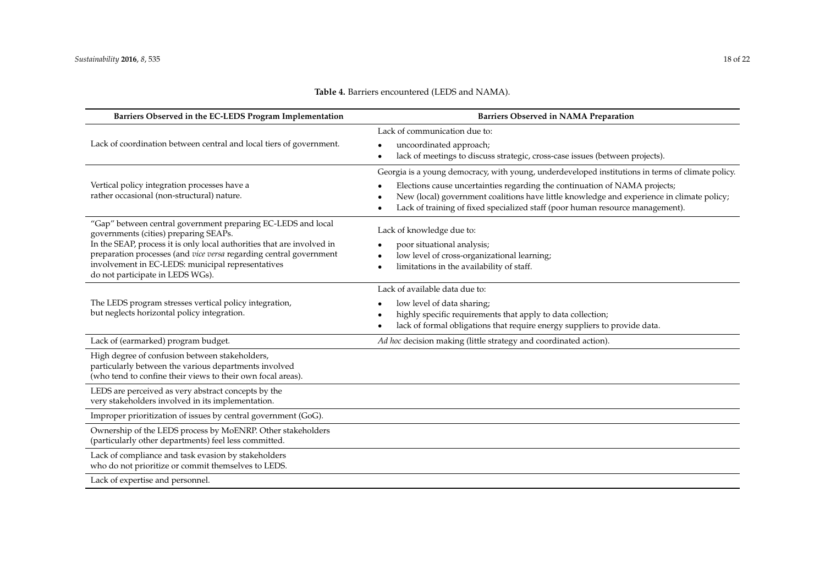<span id="page-17-0"></span>

| Barriers Observed in the EC-LEDS Program Implementation                                                                 | <b>Barriers Observed in NAMA Preparation</b>                                                                                                                                                 |
|-------------------------------------------------------------------------------------------------------------------------|----------------------------------------------------------------------------------------------------------------------------------------------------------------------------------------------|
|                                                                                                                         | Lack of communication due to:                                                                                                                                                                |
| Lack of coordination between central and local tiers of government.                                                     | uncoordinated approach;<br>$\bullet$                                                                                                                                                         |
|                                                                                                                         | lack of meetings to discuss strategic, cross-case issues (between projects).<br>$\bullet$                                                                                                    |
|                                                                                                                         | Georgia is a young democracy, with young, underdeveloped institutions in terms of climate policy.                                                                                            |
| Vertical policy integration processes have a<br>rather occasional (non-structural) nature.                              | Elections cause uncertainties regarding the continuation of NAMA projects;<br>$\bullet$                                                                                                      |
|                                                                                                                         | New (local) government coalitions have little knowledge and experience in climate policy;<br>٠<br>Lack of training of fixed specialized staff (poor human resource management).<br>$\bullet$ |
| "Gap" between central government preparing EC-LEDS and local<br>governments (cities) preparing SEAPs.                   | Lack of knowledge due to:                                                                                                                                                                    |
| In the SEAP, process it is only local authorities that are involved in                                                  | poor situational analysis;<br>$\bullet$                                                                                                                                                      |
| preparation processes (and vice versa regarding central government<br>involvement in EC-LEDS: municipal representatives | low level of cross-organizational learning;<br>$\bullet$                                                                                                                                     |
| do not participate in LEDS WGs).                                                                                        | limitations in the availability of staff.<br>$\bullet$                                                                                                                                       |
|                                                                                                                         | Lack of available data due to:                                                                                                                                                               |
| The LEDS program stresses vertical policy integration,                                                                  | low level of data sharing;<br>$\bullet$                                                                                                                                                      |
| but neglects horizontal policy integration.                                                                             | highly specific requirements that apply to data collection;<br>$\bullet$                                                                                                                     |
|                                                                                                                         | lack of formal obligations that require energy suppliers to provide data.<br>$\bullet$                                                                                                       |
| Lack of (earmarked) program budget.                                                                                     | Ad hoc decision making (little strategy and coordinated action).                                                                                                                             |
| High degree of confusion between stakeholders,                                                                          |                                                                                                                                                                                              |
| particularly between the various departments involved<br>(who tend to confine their views to their own focal areas).    |                                                                                                                                                                                              |
| LEDS are perceived as very abstract concepts by the                                                                     |                                                                                                                                                                                              |
| very stakeholders involved in its implementation.                                                                       |                                                                                                                                                                                              |
| Improper prioritization of issues by central government (GoG).                                                          |                                                                                                                                                                                              |
| Ownership of the LEDS process by MoENRP. Other stakeholders<br>(particularly other departments) feel less committed.    |                                                                                                                                                                                              |
| Lack of compliance and task evasion by stakeholders<br>who do not prioritize or commit themselves to LEDS.              |                                                                                                                                                                                              |
| Lack of expertise and personnel.                                                                                        |                                                                                                                                                                                              |

# **Table 4.** Barriers encountered (LEDS and NAMA).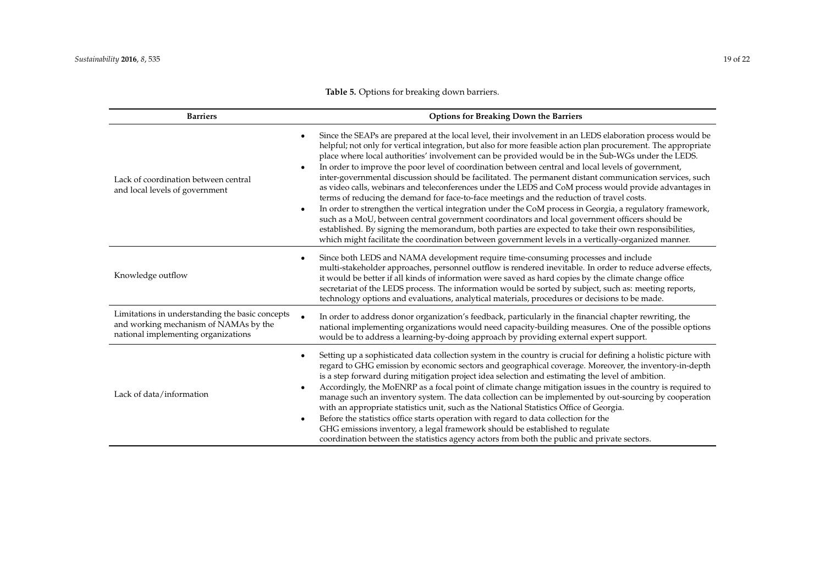| Table 5. Options for breaking down barriers. |  |
|----------------------------------------------|--|
|----------------------------------------------|--|

<span id="page-18-0"></span>

| <b>Barriers</b>                                                                                                                 | <b>Options for Breaking Down the Barriers</b>                                                                                                                                                                                                                                                                                                                                                                                                                                                                                                                                                                                                                                                                                                                                                                                                                                                                                                                                                                                                                                                                                                                                               |  |
|---------------------------------------------------------------------------------------------------------------------------------|---------------------------------------------------------------------------------------------------------------------------------------------------------------------------------------------------------------------------------------------------------------------------------------------------------------------------------------------------------------------------------------------------------------------------------------------------------------------------------------------------------------------------------------------------------------------------------------------------------------------------------------------------------------------------------------------------------------------------------------------------------------------------------------------------------------------------------------------------------------------------------------------------------------------------------------------------------------------------------------------------------------------------------------------------------------------------------------------------------------------------------------------------------------------------------------------|--|
| Lack of coordination between central<br>and local levels of government                                                          | Since the SEAPs are prepared at the local level, their involvement in an LEDS elaboration process would be<br>helpful; not only for vertical integration, but also for more feasible action plan procurement. The appropriate<br>place where local authorities' involvement can be provided would be in the Sub-WGs under the LEDS.<br>In order to improve the poor level of coordination between central and local levels of government,<br>inter-governmental discussion should be facilitated. The permanent distant communication services, such<br>as video calls, webinars and teleconferences under the LEDS and CoM process would provide advantages in<br>terms of reducing the demand for face-to-face meetings and the reduction of travel costs.<br>In order to strengthen the vertical integration under the CoM process in Georgia, a regulatory framework,<br>such as a MoU, between central government coordinators and local government officers should be<br>established. By signing the memorandum, both parties are expected to take their own responsibilities,<br>which might facilitate the coordination between government levels in a vertically-organized manner. |  |
| Knowledge outflow                                                                                                               | Since both LEDS and NAMA development require time-consuming processes and include<br>multi-stakeholder approaches, personnel outflow is rendered inevitable. In order to reduce adverse effects,<br>it would be better if all kinds of information were saved as hard copies by the climate change office<br>secretariat of the LEDS process. The information would be sorted by subject, such as: meeting reports,<br>technology options and evaluations, analytical materials, procedures or decisions to be made.                                                                                                                                                                                                                                                                                                                                                                                                                                                                                                                                                                                                                                                                        |  |
| Limitations in understanding the basic concepts<br>and working mechanism of NAMAs by the<br>national implementing organizations | In order to address donor organization's feedback, particularly in the financial chapter rewriting, the<br>national implementing organizations would need capacity-building measures. One of the possible options<br>would be to address a learning-by-doing approach by providing external expert support.                                                                                                                                                                                                                                                                                                                                                                                                                                                                                                                                                                                                                                                                                                                                                                                                                                                                                 |  |
| Lack of data/information                                                                                                        | Setting up a sophisticated data collection system in the country is crucial for defining a holistic picture with<br>regard to GHG emission by economic sectors and geographical coverage. Moreover, the inventory-in-depth<br>is a step forward during mitigation project idea selection and estimating the level of ambition.<br>Accordingly, the MoENRP as a focal point of climate change mitigation issues in the country is required to<br>manage such an inventory system. The data collection can be implemented by out-sourcing by cooperation<br>with an appropriate statistics unit, such as the National Statistics Office of Georgia.<br>Before the statistics office starts operation with regard to data collection for the<br>$\bullet$<br>GHG emissions inventory, a legal framework should be established to regulate<br>coordination between the statistics agency actors from both the public and private sectors.                                                                                                                                                                                                                                                       |  |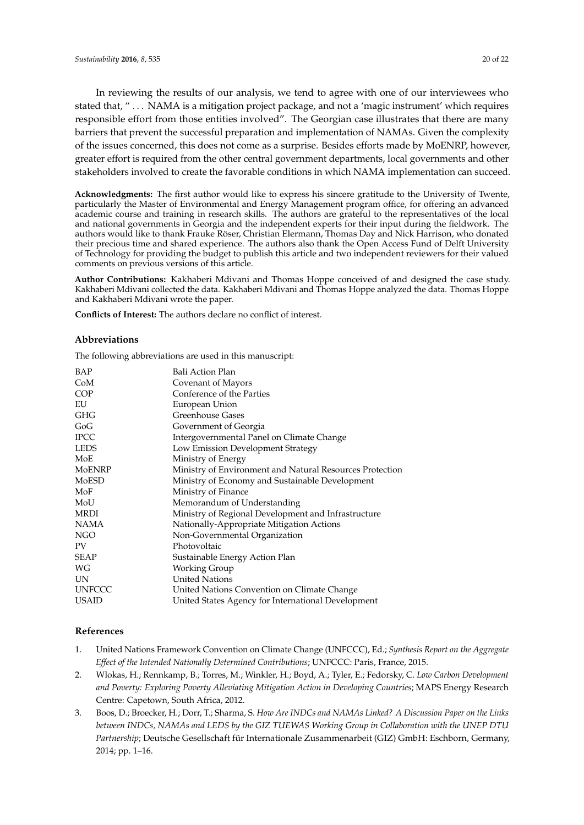In reviewing the results of our analysis, we tend to agree with one of our interviewees who stated that, " . . . NAMA is a mitigation project package, and not a 'magic instrument' which requires responsible effort from those entities involved". The Georgian case illustrates that there are many barriers that prevent the successful preparation and implementation of NAMAs. Given the complexity of the issues concerned, this does not come as a surprise. Besides efforts made by MoENRP, however, greater effort is required from the other central government departments, local governments and other stakeholders involved to create the favorable conditions in which NAMA implementation can succeed.

**Acknowledgments:** The first author would like to express his sincere gratitude to the University of Twente, particularly the Master of Environmental and Energy Management program office, for offering an advanced academic course and training in research skills. The authors are grateful to the representatives of the local and national governments in Georgia and the independent experts for their input during the fieldwork. The authors would like to thank Frauke Röser, Christian Elermann, Thomas Day and Nick Harrison, who donated their precious time and shared experience. The authors also thank the Open Access Fund of Delft University of Technology for providing the budget to publish this article and two independent reviewers for their valued comments on previous versions of this article.

**Author Contributions:** Kakhaberi Mdivani and Thomas Hoppe conceived of and designed the case study. Kakhaberi Mdivani collected the data. Kakhaberi Mdivani and Thomas Hoppe analyzed the data. Thomas Hoppe and Kakhaberi Mdivani wrote the paper.

**Conflicts of Interest:** The authors declare no conflict of interest.

## **Abbreviations**

The following abbreviations are used in this manuscript:

| Bali Action Plan                                         |
|----------------------------------------------------------|
| Covenant of Mayors                                       |
| Conference of the Parties                                |
| European Union                                           |
| Greenhouse Gases                                         |
| Government of Georgia                                    |
| Intergovernmental Panel on Climate Change                |
| Low Emission Development Strategy                        |
| Ministry of Energy                                       |
| Ministry of Environment and Natural Resources Protection |
| Ministry of Economy and Sustainable Development          |
| Ministry of Finance                                      |
| Memorandum of Understanding                              |
| Ministry of Regional Development and Infrastructure      |
| Nationally-Appropriate Mitigation Actions                |
| Non-Governmental Organization                            |
| Photovoltaic                                             |
| Sustainable Energy Action Plan                           |
| Working Group                                            |
| <b>United Nations</b>                                    |
| United Nations Convention on Climate Change              |
| United States Agency for International Development       |
|                                                          |

## **References**

- <span id="page-19-0"></span>1. United Nations Framework Convention on Climate Change (UNFCCC), Ed.; *Synthesis Report on the Aggregate Effect of the Intended Nationally Determined Contributions*; UNFCCC: Paris, France, 2015.
- <span id="page-19-1"></span>2. Wlokas, H.; Rennkamp, B.; Torres, M.; Winkler, H.; Boyd, A.; Tyler, E.; Fedorsky, C. *Low Carbon Development and Poverty: Exploring Poverty Alleviating Mitigation Action in Developing Countries*; MAPS Energy Research Centre: Capetown, South Africa, 2012.
- <span id="page-19-2"></span>3. Boos, D.; Broecker, H.; Dorr, T.; Sharma, S. *How Are INDCs and NAMAs Linked? A Discussion Paper on the Links between INDCs, NAMAs and LEDS by the GIZ TUEWAS Working Group in Collaboration with the UNEP DTU Partnership*; Deutsche Gesellschaft für Internationale Zusammenarbeit (GIZ) GmbH: Eschborn, Germany, 2014; pp. 1–16.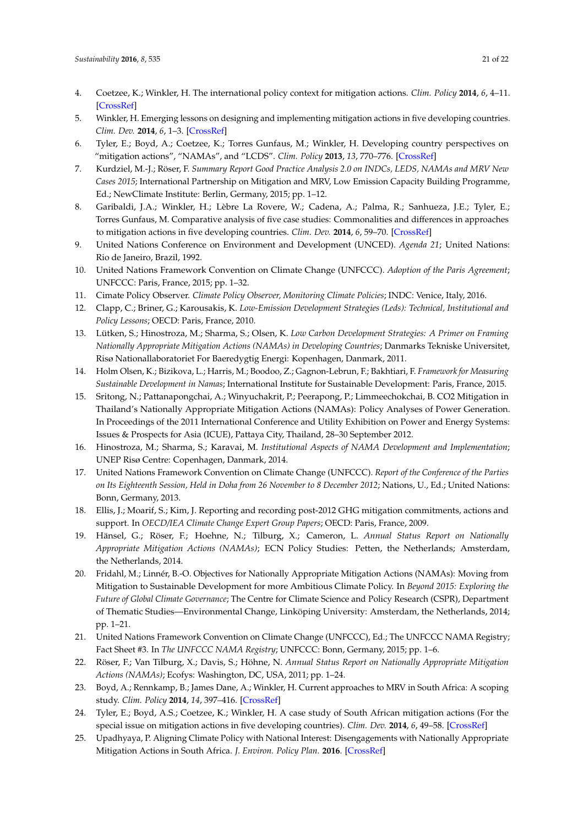- <span id="page-20-0"></span>4. Coetzee, K.; Winkler, H. The international policy context for mitigation actions. *Clim. Policy* **2014**, *6*, 4–11. [\[CrossRef\]](http://dx.doi.org/10.1080/17565529.2013.867245)
- <span id="page-20-12"></span>5. Winkler, H. Emerging lessons on designing and implementing mitigation actions in five developing countries. *Clim. Dev.* **2014**, *6*, 1–3. [\[CrossRef\]](http://dx.doi.org/10.1080/17565529.2014.892315)
- <span id="page-20-6"></span>6. Tyler, E.; Boyd, A.; Coetzee, K.; Torres Gunfaus, M.; Winkler, H. Developing country perspectives on "mitigation actions", "NAMAs", and "LCDS". *Clim. Policy* **2013**, *13*, 770–776. [\[CrossRef\]](http://dx.doi.org/10.1080/14693062.2013.823334)
- <span id="page-20-20"></span>7. Kurdziel, M.-J.; Röser, F. *Summary Report Good Practice Analysis 2.0 on INDCs, LEDS, NAMAs and MRV New Cases 2015*; International Partnership on Mitigation and MRV, Low Emission Capacity Building Programme, Ed.; NewClimate Institute: Berlin, Germany, 2015; pp. 1–12.
- <span id="page-20-1"></span>8. Garibaldi, J.A.; Winkler, H.; Lèbre La Rovere, W.; Cadena, A.; Palma, R.; Sanhueza, J.E.; Tyler, E.; Torres Gunfaus, M. Comparative analysis of five case studies: Commonalities and differences in approaches to mitigation actions in five developing countries. *Clim. Dev.* **2014**, *6*, 59–70. [\[CrossRef\]](http://dx.doi.org/10.1080/17565529.2013.812031)
- <span id="page-20-2"></span>9. United Nations Conference on Environment and Development (UNCED). *Agenda 21*; United Nations: Rio de Janeiro, Brazil, 1992.
- <span id="page-20-3"></span>10. United Nations Framework Convention on Climate Change (UNFCCC). *Adoption of the Paris Agreement*; UNFCCC: Paris, France, 2015; pp. 1–32.
- <span id="page-20-4"></span>11. Cimate Policy Observer. *Climate Policy Observer, Monitoring Climate Policies*; INDC: Venice, Italy, 2016.
- <span id="page-20-5"></span>12. Clapp, C.; Briner, G.; Karousakis, K. *Low-Emission Development Strategies (Leds): Technical, Institutional and Policy Lessons*; OECD: Paris, France, 2010.
- <span id="page-20-7"></span>13. Lütken, S.; Hinostroza, M.; Sharma, S.; Olsen, K. *Low Carbon Development Strategies: A Primer on Framing Nationally Appropriate Mitigation Actions (NAMAs) in Developing Countries*; Danmarks Tekniske Universitet, Risø Nationallaboratoriet For Baeredygtig Energi: Kopenhagen, Danmark, 2011.
- <span id="page-20-8"></span>14. Holm Olsen, K.; Bizikova, L.; Harris, M.; Boodoo, Z.; Gagnon-Lebrun, F.; Bakhtiari, F. *Framework for Measuring Sustainable Development in Namas*; International Institute for Sustainable Development: Paris, France, 2015.
- <span id="page-20-9"></span>15. Sritong, N.; Pattanapongchai, A.; Winyuchakrit, P.; Peerapong, P.; Limmeechokchai, B. CO2 Mitigation in Thailand's Nationally Appropriate Mitigation Actions (NAMAs): Policy Analyses of Power Generation. In Proceedings of the 2011 International Conference and Utility Exhibition on Power and Energy Systems: Issues & Prospects for Asia (ICUE), Pattaya City, Thailand, 28–30 September 2012.
- <span id="page-20-10"></span>16. Hinostroza, M.; Sharma, S.; Karavai, M. *Institutional Aspects of NAMA Development and Implementation*; UNEP Risø Centre: Copenhagen, Danmark, 2014.
- <span id="page-20-11"></span>17. United Nations Framework Convention on Climate Change (UNFCCC). *Report of the Conference of the Parties on Its Eighteenth Session, Held in Doha from 26 November to 8 December 2012*; Nations, U., Ed.; United Nations: Bonn, Germany, 2013.
- <span id="page-20-13"></span>18. Ellis, J.; Moarif, S.; Kim, J. Reporting and recording post-2012 GHG mitigation commitments, actions and support. In *OECD/IEA Climate Change Expert Group Papers*; OECD: Paris, France, 2009.
- <span id="page-20-14"></span>19. Hänsel, G.; Röser, F.; Hoehne, N.; Tilburg, X.; Cameron, L. *Annual Status Report on Nationally Appropriate Mitigation Actions (NAMAs)*; ECN Policy Studies: Petten, the Netherlands; Amsterdam, the Netherlands, 2014.
- <span id="page-20-15"></span>20. Fridahl, M.; Linnér, B.-O. Objectives for Nationally Appropriate Mitigation Actions (NAMAs): Moving from Mitigation to Sustainable Development for more Ambitious Climate Policy. In *Beyond 2015: Exploring the Future of Global Climate Governance*; The Centre for Climate Science and Policy Research (CSPR), Department of Thematic Studies—Environmental Change, Linköping University: Amsterdam, the Netherlands, 2014; pp. 1–21.
- <span id="page-20-16"></span>21. United Nations Framework Convention on Climate Change (UNFCCC), Ed.; The UNFCCC NAMA Registry; Fact Sheet #3. In *The UNFCCC NAMA Registry*; UNFCCC: Bonn, Germany, 2015; pp. 1–6.
- <span id="page-20-17"></span>22. Röser, F.; Van Tilburg, X.; Davis, S.; Höhne, N. *Annual Status Report on Nationally Appropriate Mitigation Actions (NAMAs)*; Ecofys: Washington, DC, USA, 2011; pp. 1–24.
- <span id="page-20-18"></span>23. Boyd, A.; Rennkamp, B.; James Dane, A.; Winkler, H. Current approaches to MRV in South Africa: A scoping study. *Clim. Policy* **2014**, *14*, 397–416. [\[CrossRef\]](http://dx.doi.org/10.1080/14693062.2014.845477)
- <span id="page-20-21"></span>24. Tyler, E.; Boyd, A.S.; Coetzee, K.; Winkler, H. A case study of South African mitigation actions (For the special issue on mitigation actions in five developing countries). *Clim. Dev.* **2014**, *6*, 49–58. [\[CrossRef\]](http://dx.doi.org/10.1080/17565529.2013.768175)
- <span id="page-20-19"></span>25. Upadhyaya, P. Aligning Climate Policy with National Interest: Disengagements with Nationally Appropriate Mitigation Actions in South Africa. *J. Environ. Policy Plan.* **2016**. [\[CrossRef\]](http://dx.doi.org/10.1080/1523908X.2016.1138402)